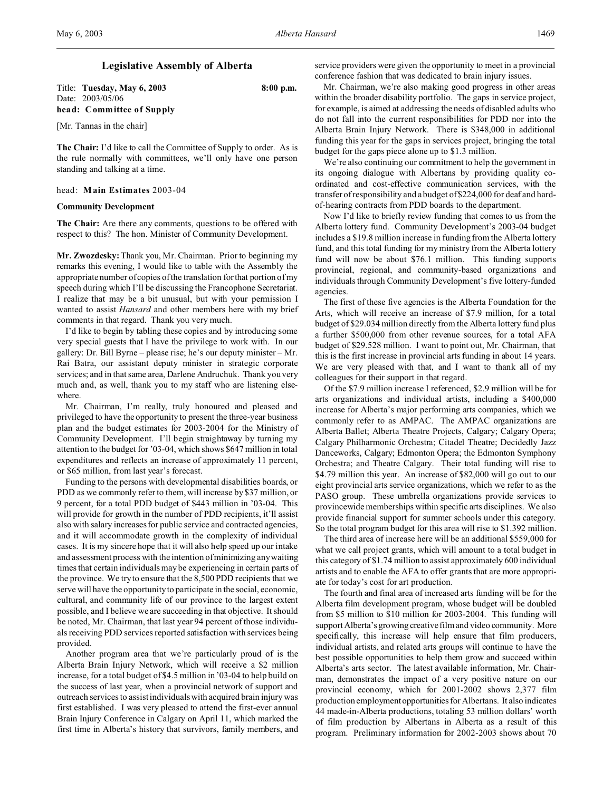### **Legislative Assembly of Alberta**

Title: **Tuesday, May 6, 2003 8:00 p.m.** Date: 2003/05/06 **head: Committee of Supply**

[Mr. Tannas in the chair]

**The Chair:** I'd like to call the Committee of Supply to order. As is the rule normally with committees, we'll only have one person standing and talking at a time.

#### head: **Main Estimates** 2003-04

### **Community Development**

**The Chair:** Are there any comments, questions to be offered with respect to this? The hon. Minister of Community Development.

**Mr. Zwozdesky:** Thank you, Mr. Chairman. Prior to beginning my remarks this evening, I would like to table with the Assembly the appropriate number of copies of the translation for that portion of my speech during which I'll be discussing the Francophone Secretariat. I realize that may be a bit unusual, but with your permission I wanted to assist *Hansard* and other members here with my brief comments in that regard. Thank you very much.

I'd like to begin by tabling these copies and by introducing some very special guests that I have the privilege to work with. In our gallery: Dr. Bill Byrne – please rise; he's our deputy minister – Mr. Rai Batra, our assistant deputy minister in strategic corporate services; and in that same area, Darlene Andruchuk. Thank you very much and, as well, thank you to my staff who are listening elsewhere.

Mr. Chairman, I'm really, truly honoured and pleased and privileged to have the opportunity to present the three-year business plan and the budget estimates for 2003-2004 for the Ministry of Community Development. I'll begin straightaway by turning my attention to the budget for '03-04, which shows \$647 million in total expenditures and reflects an increase of approximately 11 percent, or \$65 million, from last year's forecast.

Funding to the persons with developmental disabilities boards, or PDD as we commonly refer to them, will increase by \$37 million, or 9 percent, for a total PDD budget of \$443 million in '03-04. This will provide for growth in the number of PDD recipients, it'll assist also with salary increases for public service and contracted agencies, and it will accommodate growth in the complexity of individual cases. It is my sincere hope that it will also help speed up our intake and assessment process with the intention of minimizing any waiting times that certain individuals may be experiencing in certain parts of the province. We try to ensure that the 8,500 PDD recipients that we serve will have the opportunity to participate in the social, economic, cultural, and community life of our province to the largest extent possible, and I believe we are succeeding in that objective. It should be noted, Mr. Chairman, that last year 94 percent of those individuals receiving PDD services reported satisfaction with services being provided.

Another program area that we're particularly proud of is the Alberta Brain Injury Network, which will receive a \$2 million increase, for a total budget of \$4.5 million in '03-04 to help build on the success of last year, when a provincial network of support and outreach services to assist individuals with acquired brain injury was first established. I was very pleased to attend the first-ever annual Brain Injury Conference in Calgary on April 11, which marked the first time in Alberta's history that survivors, family members, and

service providers were given the opportunity to meet in a provincial conference fashion that was dedicated to brain injury issues.

Mr. Chairman, we're also making good progress in other areas within the broader disability portfolio. The gaps in service project, for example, is aimed at addressing the needs of disabled adults who do not fall into the current responsibilities for PDD nor into the Alberta Brain Injury Network. There is \$348,000 in additional funding this year for the gaps in services project, bringing the total budget for the gaps piece alone up to \$1.3 million.

We're also continuing our commitment to help the government in its ongoing dialogue with Albertans by providing quality coordinated and cost-effective communication services, with the transfer of responsibility and a budget of \$224,000 for deaf and hardof-hearing contracts from PDD boards to the department.

Now I'd like to briefly review funding that comes to us from the Alberta lottery fund. Community Development's 2003-04 budget includes a \$19.8 million increase in funding from the Alberta lottery fund, and this total funding for my ministry from the Alberta lottery fund will now be about \$76.1 million. This funding supports provincial, regional, and community-based organizations and individuals through Community Development's five lottery-funded agencies.

The first of these five agencies is the Alberta Foundation for the Arts, which will receive an increase of \$7.9 million, for a total budget of \$29.034 million directly from the Alberta lottery fund plus a further \$500,000 from other revenue sources, for a total AFA budget of \$29.528 million. I want to point out, Mr. Chairman, that this is the first increase in provincial arts funding in about 14 years. We are very pleased with that, and I want to thank all of my colleagues for their support in that regard.

Of the \$7.9 million increase I referenced, \$2.9 million will be for arts organizations and individual artists, including a \$400,000 increase for Alberta's major performing arts companies, which we commonly refer to as AMPAC. The AMPAC organizations are Alberta Ballet; Alberta Theatre Projects, Calgary; Calgary Opera; Calgary Philharmonic Orchestra; Citadel Theatre; Decidedly Jazz Danceworks, Calgary; Edmonton Opera; the Edmonton Symphony Orchestra; and Theatre Calgary. Their total funding will rise to \$4.79 million this year. An increase of \$82,000 will go out to our eight provincial arts service organizations, which we refer to as the PASO group. These umbrella organizations provide services to provincewide memberships within specific arts disciplines. We also provide financial support for summer schools under this category. So the total program budget for this area will rise to \$1.392 million.

The third area of increase here will be an additional \$559,000 for what we call project grants, which will amount to a total budget in this category of \$1.74 million to assist approximately 600 individual artists and to enable the AFA to offer grants that are more appropriate for today's cost for art production.

The fourth and final area of increased arts funding will be for the Alberta film development program, whose budget will be doubled from \$5 million to \$10 million for 2003-2004. This funding will support Alberta's growing creative film and video community. More specifically, this increase will help ensure that film producers, individual artists, and related arts groups will continue to have the best possible opportunities to help them grow and succeed within Alberta's arts sector. The latest available information, Mr. Chairman, demonstrates the impact of a very positive nature on our provincial economy, which for 2001-2002 shows 2,377 film production employment opportunities for Albertans. It also indicates 44 made-in-Alberta productions, totaling 53 million dollars' worth of film production by Albertans in Alberta as a result of this program. Preliminary information for 2002-2003 shows about 70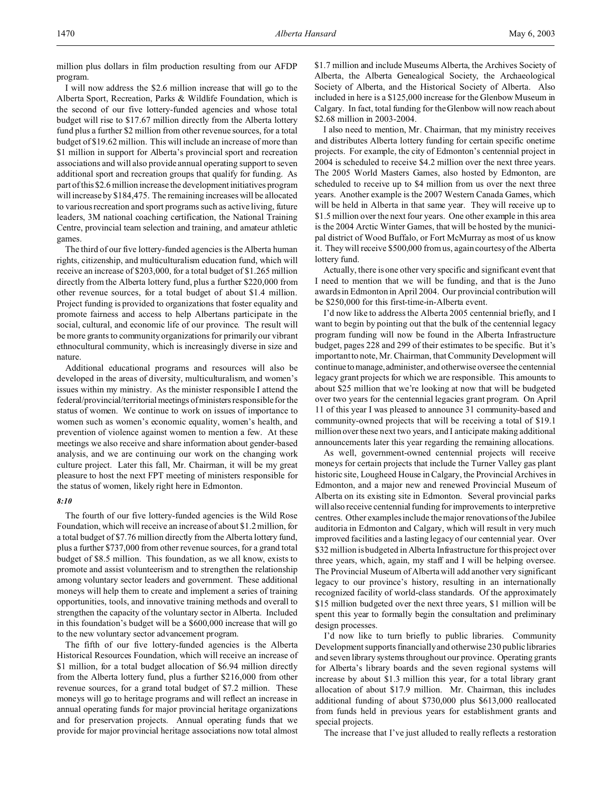I will now address the \$2.6 million increase that will go to the Alberta Sport, Recreation, Parks & Wildlife Foundation, which is the second of our five lottery-funded agencies and whose total budget will rise to \$17.67 million directly from the Alberta lottery fund plus a further \$2 million from other revenue sources, for a total budget of \$19.62 million. This will include an increase of more than \$1 million in support for Alberta's provincial sport and recreation associations and will also provide annual operating support to seven additional sport and recreation groups that qualify for funding. As part of this \$2.6 million increase the development initiatives program will increase by \$184,475. The remaining increases will be allocated to various recreation and sport programs such as active living, future leaders, 3M national coaching certification, the National Training Centre, provincial team selection and training, and amateur athletic games.

The third of our five lottery-funded agencies is the Alberta human rights, citizenship, and multiculturalism education fund, which will receive an increase of \$203,000, for a total budget of \$1.265 million directly from the Alberta lottery fund, plus a further \$220,000 from other revenue sources, for a total budget of about \$1.4 million. Project funding is provided to organizations that foster equality and promote fairness and access to help Albertans participate in the social, cultural, and economic life of our province. The result will be more grants to community organizations for primarily our vibrant ethnocultural community, which is increasingly diverse in size and nature.

Additional educational programs and resources will also be developed in the areas of diversity, multiculturalism, and women's issues within my ministry. As the minister responsible I attend the federal/provincial/territorial meetings of ministers responsible for the status of women. We continue to work on issues of importance to women such as women's economic equality, women's health, and prevention of violence against women to mention a few. At these meetings we also receive and share information about gender-based analysis, and we are continuing our work on the changing work culture project. Later this fall, Mr. Chairman, it will be my great pleasure to host the next FPT meeting of ministers responsible for the status of women, likely right here in Edmonton.

#### *8:10*

The fourth of our five lottery-funded agencies is the Wild Rose Foundation, which will receive an increase of about \$1.2 million, for a total budget of \$7.76 million directly from the Alberta lottery fund, plus a further \$737,000 from other revenue sources, for a grand total budget of \$8.5 million. This foundation, as we all know, exists to promote and assist volunteerism and to strengthen the relationship among voluntary sector leaders and government. These additional moneys will help them to create and implement a series of training opportunities, tools, and innovative training methods and overall to strengthen the capacity of the voluntary sector in Alberta. Included in this foundation's budget will be a \$600,000 increase that will go to the new voluntary sector advancement program.

The fifth of our five lottery-funded agencies is the Alberta Historical Resources Foundation, which will receive an increase of \$1 million, for a total budget allocation of \$6.94 million directly from the Alberta lottery fund, plus a further \$216,000 from other revenue sources, for a grand total budget of \$7.2 million. These moneys will go to heritage programs and will reflect an increase in annual operating funds for major provincial heritage organizations and for preservation projects. Annual operating funds that we provide for major provincial heritage associations now total almost \$1.7 million and include Museums Alberta, the Archives Society of Alberta, the Alberta Genealogical Society, the Archaeological Society of Alberta, and the Historical Society of Alberta. Also included in here is a \$125,000 increase for the Glenbow Museum in Calgary. In fact, total funding for the Glenbow will now reach about \$2.68 million in 2003-2004.

I also need to mention, Mr. Chairman, that my ministry receives and distributes Alberta lottery funding for certain specific onetime projects. For example, the city of Edmonton's centennial project in 2004 is scheduled to receive \$4.2 million over the next three years. The 2005 World Masters Games, also hosted by Edmonton, are scheduled to receive up to \$4 million from us over the next three years. Another example is the 2007 Western Canada Games, which will be held in Alberta in that same year. They will receive up to \$1.5 million over the next four years. One other example in this area is the 2004 Arctic Winter Games, that will be hosted by the municipal district of Wood Buffalo, or Fort McMurray as most of us know it. They will receive \$500,000 from us, again courtesy of the Alberta lottery fund.

Actually, there is one other very specific and significant event that I need to mention that we will be funding, and that is the Juno awards in Edmonton in April 2004. Our provincial contribution will be \$250,000 for this first-time-in-Alberta event.

I'd now like to address the Alberta 2005 centennial briefly, and I want to begin by pointing out that the bulk of the centennial legacy program funding will now be found in the Alberta Infrastructure budget, pages 228 and 299 of their estimates to be specific. But it's important to note, Mr. Chairman, that Community Development will continue to manage, administer, and otherwise oversee the centennial legacy grant projects for which we are responsible. This amounts to about \$25 million that we're looking at now that will be budgeted over two years for the centennial legacies grant program. On April 11 of this year I was pleased to announce 31 community-based and community-owned projects that will be receiving a total of \$19.1 million over these next two years, and I anticipate making additional announcements later this year regarding the remaining allocations.

As well, government-owned centennial projects will receive moneys for certain projects that include the Turner Valley gas plant historic site, Lougheed House in Calgary, the Provincial Archives in Edmonton, and a major new and renewed Provincial Museum of Alberta on its existing site in Edmonton. Several provincial parks will also receive centennial funding for improvements to interpretive centres. Other examples include the major renovations of the Jubilee auditoria in Edmonton and Calgary, which will result in very much improved facilities and a lasting legacy of our centennial year. Over \$32 million is budgeted in Alberta Infrastructure for this project over three years, which, again, my staff and I will be helping oversee. The Provincial Museum of Alberta will add another very significant legacy to our province's history, resulting in an internationally recognized facility of world-class standards. Of the approximately \$15 million budgeted over the next three years, \$1 million will be spent this year to formally begin the consultation and preliminary design processes.

I'd now like to turn briefly to public libraries. Community Development supports financially and otherwise 230 public libraries and seven library systems throughout our province. Operating grants for Alberta's library boards and the seven regional systems will increase by about \$1.3 million this year, for a total library grant allocation of about \$17.9 million. Mr. Chairman, this includes additional funding of about \$730,000 plus \$613,000 reallocated from funds held in previous years for establishment grants and special projects.

The increase that I've just alluded to really reflects a restoration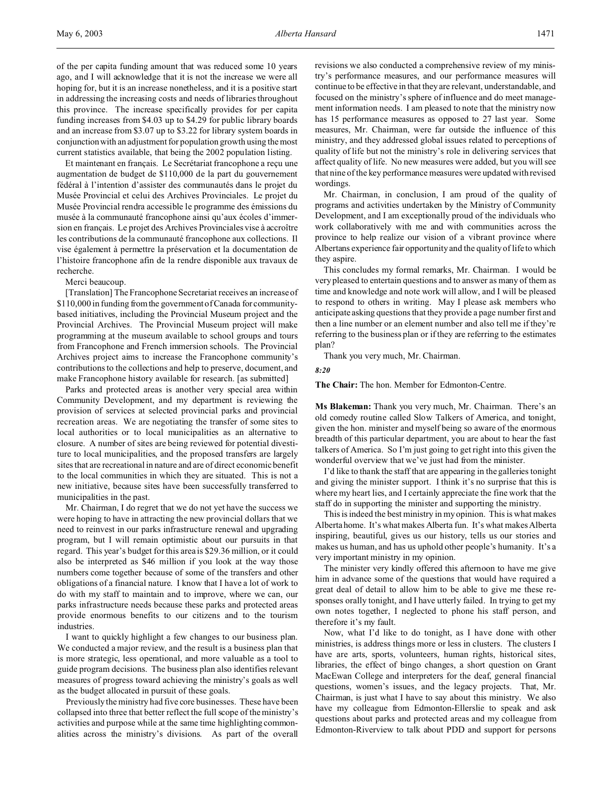Et maintenant en français. Le Secrétariat francophone a reçu une augmentation de budget de \$110,000 de la part du gouvernement fédéral à l'intention d'assister des communautés dans le projet du Musée Provincial et celui des Archives Provinciales. Le projet du Musée Provincial rendra accessible le programme des émissions du musée à la communauté francophone ainsi qu'aux écoles d'immersion en français. Le projet des Archives Provinciales vise à accroître les contributions de la communauté francophone aux collections. Il vise également à permettre la préservation et la documentation de l'histoire francophone afin de la rendre disponible aux travaux de recherche.

### Merci beaucoup.

[Translation] The Francophone Secretariat receives an increase of \$110,000 in funding from the government of Canada for communitybased initiatives, including the Provincial Museum project and the Provincial Archives. The Provincial Museum project will make programming at the museum available to school groups and tours from Francophone and French immersion schools. The Provincial Archives project aims to increase the Francophone community's contributions to the collections and help to preserve, document, and make Francophone history available for research. [as submitted]

Parks and protected areas is another very special area within Community Development, and my department is reviewing the provision of services at selected provincial parks and provincial recreation areas. We are negotiating the transfer of some sites to local authorities or to local municipalities as an alternative to closure. A number of sites are being reviewed for potential divestiture to local municipalities, and the proposed transfers are largely sites that are recreational in nature and are of direct economic benefit to the local communities in which they are situated. This is not a new initiative, because sites have been successfully transferred to municipalities in the past.

Mr. Chairman, I do regret that we do not yet have the success we were hoping to have in attracting the new provincial dollars that we need to reinvest in our parks infrastructure renewal and upgrading program, but I will remain optimistic about our pursuits in that regard. This year's budget for this area is \$29.36 million, or it could also be interpreted as \$46 million if you look at the way those numbers come together because of some of the transfers and other obligations of a financial nature. I know that I have a lot of work to do with my staff to maintain and to improve, where we can, our parks infrastructure needs because these parks and protected areas provide enormous benefits to our citizens and to the tourism industries.

I want to quickly highlight a few changes to our business plan. We conducted a major review, and the result is a business plan that is more strategic, less operational, and more valuable as a tool to guide program decisions. The business plan also identifies relevant measures of progress toward achieving the ministry's goals as well as the budget allocated in pursuit of these goals.

Previously the ministry had five core businesses. These have been collapsed into three that better reflect the full scope of the ministry's activities and purpose while at the same time highlighting commonalities across the ministry's divisions. As part of the overall

revisions we also conducted a comprehensive review of my ministry's performance measures, and our performance measures will continue to be effective in that they are relevant, understandable, and focused on the ministry's sphere of influence and do meet management information needs. I am pleased to note that the ministry now has 15 performance measures as opposed to 27 last year. Some measures, Mr. Chairman, were far outside the influence of this ministry, and they addressed global issues related to perceptions of quality of life but not the ministry's role in delivering services that affect quality of life. No new measures were added, but you will see that nine of the key performance measures were updated with revised wordings.

Mr. Chairman, in conclusion, I am proud of the quality of programs and activities undertaken by the Ministry of Community Development, and I am exceptionally proud of the individuals who work collaboratively with me and with communities across the province to help realize our vision of a vibrant province where Albertans experience fair opportunity and the quality of life to which they aspire.

This concludes my formal remarks, Mr. Chairman. I would be very pleased to entertain questions and to answer as many of them as time and knowledge and note work will allow, and I will be pleased to respond to others in writing. May I please ask members who anticipate asking questions that they provide a page number first and then a line number or an element number and also tell me if they're referring to the business plan or if they are referring to the estimates plan?

Thank you very much, Mr. Chairman.

#### *8:20*

**The Chair:** The hon. Member for Edmonton-Centre.

**Ms Blakeman:** Thank you very much, Mr. Chairman. There's an old comedy routine called Slow Talkers of America, and tonight, given the hon. minister and myself being so aware of the enormous breadth of this particular department, you are about to hear the fast talkers of America. So I'm just going to get right into this given the wonderful overview that we've just had from the minister.

I'd like to thank the staff that are appearing in the galleries tonight and giving the minister support. I think it's no surprise that this is where my heart lies, and I certainly appreciate the fine work that the staff do in supporting the minister and supporting the ministry.

This is indeed the best ministry in my opinion. This is what makes Alberta home. It's what makes Alberta fun. It's what makes Alberta inspiring, beautiful, gives us our history, tells us our stories and makes us human, and has us uphold other people's humanity. It's a very important ministry in my opinion.

The minister very kindly offered this afternoon to have me give him in advance some of the questions that would have required a great deal of detail to allow him to be able to give me these responses orally tonight, and I have utterly failed. In trying to get my own notes together, I neglected to phone his staff person, and therefore it's my fault.

Now, what I'd like to do tonight, as I have done with other ministries, is address things more or less in clusters. The clusters I have are arts, sports, volunteers, human rights, historical sites, libraries, the effect of bingo changes, a short question on Grant MacEwan College and interpreters for the deaf, general financial questions, women's issues, and the legacy projects. That, Mr. Chairman, is just what I have to say about this ministry. We also have my colleague from Edmonton-Ellerslie to speak and ask questions about parks and protected areas and my colleague from Edmonton-Riverview to talk about PDD and support for persons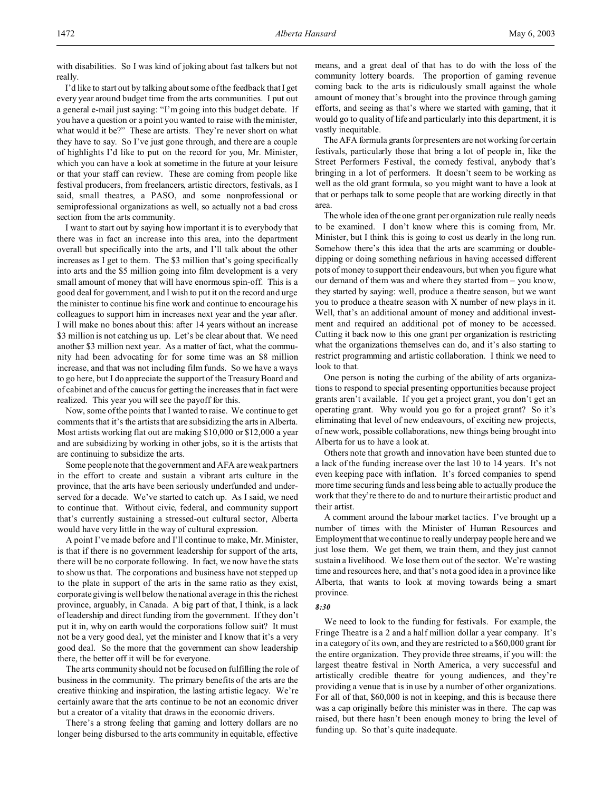with disabilities. So I was kind of joking about fast talkers but not really.

I'd like to start out by talking about some of the feedback that I get every year around budget time from the arts communities. I put out a general e-mail just saying: "I'm going into this budget debate. If you have a question or a point you wanted to raise with the minister, what would it be?" These are artists. They're never short on what they have to say. So I've just gone through, and there are a couple of highlights I'd like to put on the record for you, Mr. Minister, which you can have a look at sometime in the future at your leisure or that your staff can review. These are coming from people like festival producers, from freelancers, artistic directors, festivals, as I said, small theatres, a PASO, and some nonprofessional or semiprofessional organizations as well, so actually not a bad cross section from the arts community.

I want to start out by saying how important it is to everybody that there was in fact an increase into this area, into the department overall but specifically into the arts, and I'll talk about the other increases as I get to them. The \$3 million that's going specifically into arts and the \$5 million going into film development is a very small amount of money that will have enormous spin-off. This is a good deal for government, and I wish to put it on the record and urge the minister to continue his fine work and continue to encourage his colleagues to support him in increases next year and the year after. I will make no bones about this: after 14 years without an increase \$3 million is not catching us up. Let's be clear about that. We need another \$3 million next year. As a matter of fact, what the community had been advocating for for some time was an \$8 million increase, and that was not including film funds. So we have a ways to go here, but I do appreciate the support of the Treasury Board and of cabinet and of the caucus for getting the increases that in fact were realized. This year you will see the payoff for this.

Now, some of the points that I wanted to raise. We continue to get comments that it's the artists that are subsidizing the arts in Alberta. Most artists working flat out are making \$10,000 or \$12,000 a year and are subsidizing by working in other jobs, so it is the artists that are continuing to subsidize the arts.

Some people note that the government and AFA are weak partners in the effort to create and sustain a vibrant arts culture in the province, that the arts have been seriously underfunded and underserved for a decade. We've started to catch up. As I said, we need to continue that. Without civic, federal, and community support that's currently sustaining a stressed-out cultural sector, Alberta would have very little in the way of cultural expression.

A point I've made before and I'll continue to make, Mr. Minister, is that if there is no government leadership for support of the arts, there will be no corporate following. In fact, we now have the stats to show us that. The corporations and business have not stepped up to the plate in support of the arts in the same ratio as they exist, corporate giving is well below the national average in this the richest province, arguably, in Canada. A big part of that, I think, is a lack of leadership and direct funding from the government. If they don't put it in, why on earth would the corporations follow suit? It must not be a very good deal, yet the minister and I know that it's a very good deal. So the more that the government can show leadership there, the better off it will be for everyone.

The arts community should not be focused on fulfilling the role of business in the community. The primary benefits of the arts are the creative thinking and inspiration, the lasting artistic legacy. We're certainly aware that the arts continue to be not an economic driver but a creator of a vitality that draws in the economic drivers.

There's a strong feeling that gaming and lottery dollars are no longer being disbursed to the arts community in equitable, effective means, and a great deal of that has to do with the loss of the community lottery boards. The proportion of gaming revenue coming back to the arts is ridiculously small against the whole amount of money that's brought into the province through gaming efforts, and seeing as that's where we started with gaming, that it would go to quality of life and particularly into this department, it is vastly inequitable.

The AFA formula grants for presenters are not working for certain festivals, particularly those that bring a lot of people in, like the Street Performers Festival, the comedy festival, anybody that's bringing in a lot of performers. It doesn't seem to be working as well as the old grant formula, so you might want to have a look at that or perhaps talk to some people that are working directly in that area.

The whole idea of the one grant per organization rule really needs to be examined. I don't know where this is coming from, Mr. Minister, but I think this is going to cost us dearly in the long run. Somehow there's this idea that the arts are scamming or doubledipping or doing something nefarious in having accessed different pots of money to support their endeavours, but when you figure what our demand of them was and where they started from – you know, they started by saying: well, produce a theatre season, but we want you to produce a theatre season with X number of new plays in it. Well, that's an additional amount of money and additional investment and required an additional pot of money to be accessed. Cutting it back now to this one grant per organization is restricting what the organizations themselves can do, and it's also starting to restrict programming and artistic collaboration. I think we need to look to that.

One person is noting the curbing of the ability of arts organizations to respond to special presenting opportunities because project grants aren't available. If you get a project grant, you don't get an operating grant. Why would you go for a project grant? So it's eliminating that level of new endeavours, of exciting new projects, of new work, possible collaborations, new things being brought into Alberta for us to have a look at.

Others note that growth and innovation have been stunted due to a lack of the funding increase over the last 10 to 14 years. It's not even keeping pace with inflation. It's forced companies to spend more time securing funds and less being able to actually produce the work that they're there to do and to nurture their artistic product and their artist.

A comment around the labour market tactics. I've brought up a number of times with the Minister of Human Resources and Employment that we continue to really underpay people here and we just lose them. We get them, we train them, and they just cannot sustain a livelihood. We lose them out of the sector. We're wasting time and resources here, and that's not a good idea in a province like Alberta, that wants to look at moving towards being a smart province.

#### *8:30*

We need to look to the funding for festivals. For example, the Fringe Theatre is a 2 and a half million dollar a year company. It's in a category of its own, and they are restricted to a \$60,000 grant for the entire organization. They provide three streams, if you will: the largest theatre festival in North America, a very successful and artistically credible theatre for young audiences, and they're providing a venue that is in use by a number of other organizations. For all of that, \$60,000 is not in keeping, and this is because there was a cap originally before this minister was in there. The cap was raised, but there hasn't been enough money to bring the level of funding up. So that's quite inadequate.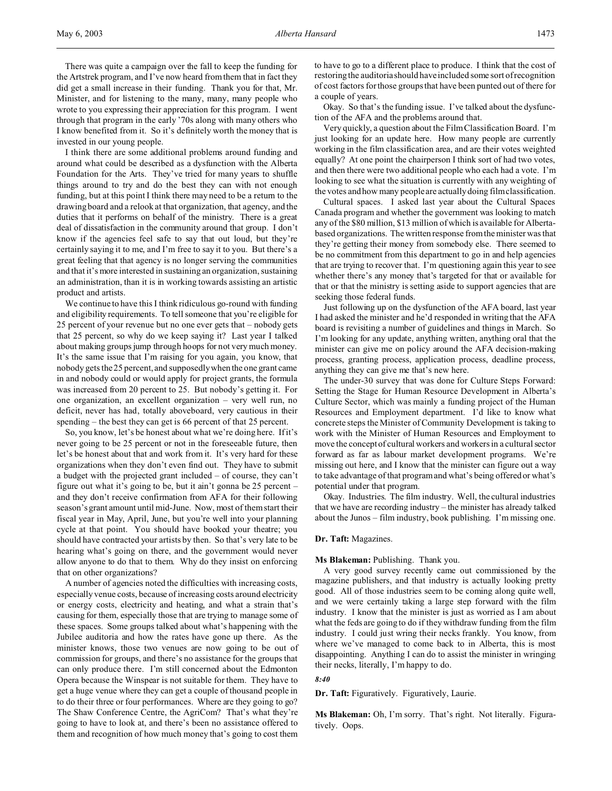There was quite a campaign over the fall to keep the funding for the Artstrek program, and I've now heard from them that in fact they did get a small increase in their funding. Thank you for that, Mr. Minister, and for listening to the many, many, many people who wrote to you expressing their appreciation for this program. I went through that program in the early '70s along with many others who I know benefited from it. So it's definitely worth the money that is invested in our young people.

I think there are some additional problems around funding and around what could be described as a dysfunction with the Alberta Foundation for the Arts. They've tried for many years to shuffle things around to try and do the best they can with not enough funding, but at this point I think there may need to be a return to the drawing board and a relook at that organization, that agency, and the duties that it performs on behalf of the ministry. There is a great deal of dissatisfaction in the community around that group. I don't know if the agencies feel safe to say that out loud, but they're certainly saying it to me, and I'm free to say it to you. But there's a great feeling that that agency is no longer serving the communities and that it's more interested in sustaining an organization, sustaining an administration, than it is in working towards assisting an artistic product and artists.

We continue to have this I think ridiculous go-round with funding and eligibility requirements. To tell someone that you're eligible for 25 percent of your revenue but no one ever gets that – nobody gets that 25 percent, so why do we keep saying it? Last year I talked about making groups jump through hoops for not very much money. It's the same issue that I'm raising for you again, you know, that nobody gets the 25 percent, and supposedly when the one grant came in and nobody could or would apply for project grants, the formula was increased from 20 percent to 25. But nobody's getting it. For one organization, an excellent organization – very well run, no deficit, never has had, totally aboveboard, very cautious in their spending – the best they can get is 66 percent of that 25 percent.

So, you know, let's be honest about what we're doing here. If it's never going to be 25 percent or not in the foreseeable future, then let's be honest about that and work from it. It's very hard for these organizations when they don't even find out. They have to submit a budget with the projected grant included – of course, they can't figure out what it's going to be, but it ain't gonna be 25 percent – and they don't receive confirmation from AFA for their following season's grant amount until mid-June. Now, most of them start their fiscal year in May, April, June, but you're well into your planning cycle at that point. You should have booked your theatre; you should have contracted your artists by then. So that's very late to be hearing what's going on there, and the government would never allow anyone to do that to them. Why do they insist on enforcing that on other organizations?

A number of agencies noted the difficulties with increasing costs, especially venue costs, because of increasing costs around electricity or energy costs, electricity and heating, and what a strain that's causing for them, especially those that are trying to manage some of these spaces. Some groups talked about what's happening with the Jubilee auditoria and how the rates have gone up there. As the minister knows, those two venues are now going to be out of commission for groups, and there's no assistance for the groups that can only produce there. I'm still concerned about the Edmonton Opera because the Winspear is not suitable for them. They have to get a huge venue where they can get a couple of thousand people in to do their three or four performances. Where are they going to go? The Shaw Conference Centre, the AgriCom? That's what they're going to have to look at, and there's been no assistance offered to them and recognition of how much money that's going to cost them

to have to go to a different place to produce. I think that the cost of restoring the auditoria should have included some sort of recognition of cost factors for those groups that have been punted out of there for a couple of years.

Okay. So that's the funding issue. I've talked about the dysfunction of the AFA and the problems around that.

Very quickly, a question about the Film Classification Board. I'm just looking for an update here. How many people are currently working in the film classification area, and are their votes weighted equally? At one point the chairperson I think sort of had two votes, and then there were two additional people who each had a vote. I'm looking to see what the situation is currently with any weighting of the votes and how many people are actually doing film classification.

Cultural spaces. I asked last year about the Cultural Spaces Canada program and whether the government was looking to match any of the \$80 million, \$13 million of which is available for Albertabased organizations. The written response from the minister was that they're getting their money from somebody else. There seemed to be no commitment from this department to go in and help agencies that are trying to recover that. I'm questioning again this year to see whether there's any money that's targeted for that or available for that or that the ministry is setting aside to support agencies that are seeking those federal funds.

Just following up on the dysfunction of the AFA board, last year I had asked the minister and he'd responded in writing that the AFA board is revisiting a number of guidelines and things in March. So I'm looking for any update, anything written, anything oral that the minister can give me on policy around the AFA decision-making process, granting process, application process, deadline process, anything they can give me that's new here.

The under-30 survey that was done for Culture Steps Forward: Setting the Stage for Human Resource Development in Alberta's Culture Sector, which was mainly a funding project of the Human Resources and Employment department. I'd like to know what concrete steps the Minister of Community Development is taking to work with the Minister of Human Resources and Employment to move the concept of cultural workers and workers in a cultural sector forward as far as labour market development programs. We're missing out here, and I know that the minister can figure out a way to take advantage of that program and what's being offered or what's potential under that program.

Okay. Industries. The film industry. Well, the cultural industries that we have are recording industry – the minister has already talked about the Junos – film industry, book publishing. I'm missing one.

### **Dr. Taft:** Magazines.

### **Ms Blakeman:** Publishing. Thank you.

A very good survey recently came out commissioned by the magazine publishers, and that industry is actually looking pretty good. All of those industries seem to be coming along quite well, and we were certainly taking a large step forward with the film industry. I know that the minister is just as worried as I am about what the feds are going to do if they withdraw funding from the film industry. I could just wring their necks frankly. You know, from where we've managed to come back to in Alberta, this is most disappointing. Anything I can do to assist the minister in wringing their necks, literally, I'm happy to do.

#### *8:40*

**Dr. Taft:** Figuratively. Figuratively, Laurie.

**Ms Blakeman:** Oh, I'm sorry. That's right. Not literally. Figuratively. Oops.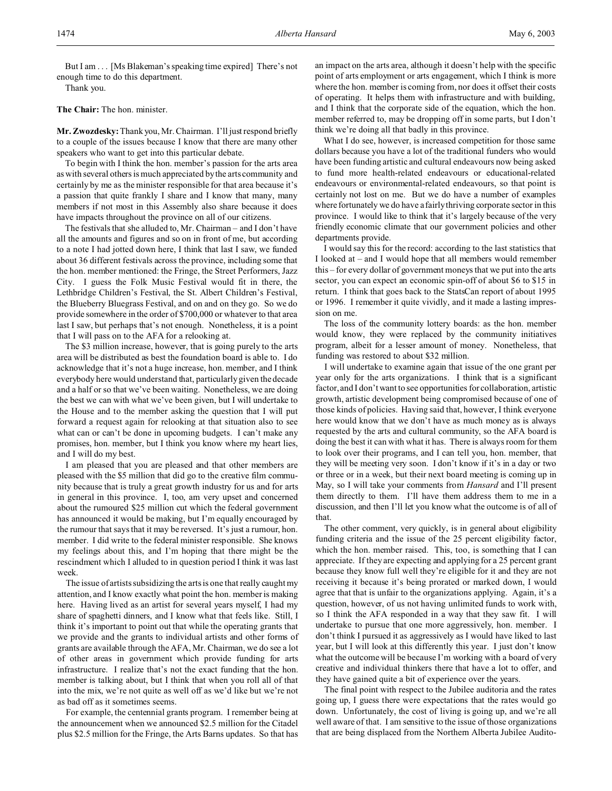But I am . . . [Ms Blakeman's speaking time expired] There's not enough time to do this department.

Thank you.

**The Chair:** The hon. minister.

**Mr. Zwozdesky:**Thank you, Mr. Chairman. I'll just respond briefly to a couple of the issues because I know that there are many other speakers who want to get into this particular debate.

To begin with I think the hon. member's passion for the arts area as with several others is much appreciated by the arts community and certainly by me as the minister responsible for that area because it's a passion that quite frankly I share and I know that many, many members if not most in this Assembly also share because it does have impacts throughout the province on all of our citizens.

The festivals that she alluded to, Mr. Chairman – and I don't have all the amounts and figures and so on in front of me, but according to a note I had jotted down here, I think that last I saw, we funded about 36 different festivals across the province, including some that the hon. member mentioned: the Fringe, the Street Performers, Jazz City. I guess the Folk Music Festival would fit in there, the Lethbridge Children's Festival, the St. Albert Children's Festival, the Blueberry Bluegrass Festival, and on and on they go. So we do provide somewhere in the order of \$700,000 or whatever to that area last I saw, but perhaps that's not enough. Nonetheless, it is a point that I will pass on to the AFA for a relooking at.

The \$3 million increase, however, that is going purely to the arts area will be distributed as best the foundation board is able to. I do acknowledge that it's not a huge increase, hon. member, and I think everybody here would understand that, particularly given the decade and a half or so that we've been waiting. Nonetheless, we are doing the best we can with what we've been given, but I will undertake to the House and to the member asking the question that I will put forward a request again for relooking at that situation also to see what can or can't be done in upcoming budgets. I can't make any promises, hon. member, but I think you know where my heart lies, and I will do my best.

I am pleased that you are pleased and that other members are pleased with the \$5 million that did go to the creative film community because that is truly a great growth industry for us and for arts in general in this province. I, too, am very upset and concerned about the rumoured \$25 million cut which the federal government has announced it would be making, but I'm equally encouraged by the rumour that says that it may be reversed. It's just a rumour, hon. member. I did write to the federal minister responsible. She knows my feelings about this, and I'm hoping that there might be the rescindment which I alluded to in question period I think it was last week.

The issue of artists subsidizing the arts is one that really caught my attention, and I know exactly what point the hon. member is making here. Having lived as an artist for several years myself, I had my share of spaghetti dinners, and I know what that feels like. Still, I think it's important to point out that while the operating grants that we provide and the grants to individual artists and other forms of grants are available through the AFA, Mr. Chairman, we do see a lot of other areas in government which provide funding for arts infrastructure. I realize that's not the exact funding that the hon. member is talking about, but I think that when you roll all of that into the mix, we're not quite as well off as we'd like but we're not as bad off as it sometimes seems.

For example, the centennial grants program. I remember being at the announcement when we announced \$2.5 million for the Citadel plus \$2.5 million for the Fringe, the Arts Barns updates. So that has

an impact on the arts area, although it doesn't help with the specific point of arts employment or arts engagement, which I think is more where the hon. member is coming from, nor does it offset their costs of operating. It helps them with infrastructure and with building, and I think that the corporate side of the equation, which the hon. member referred to, may be dropping off in some parts, but I don't think we're doing all that badly in this province.

What I do see, however, is increased competition for those same dollars because you have a lot of the traditional funders who would have been funding artistic and cultural endeavours now being asked to fund more health-related endeavours or educational-related endeavours or environmental-related endeavours, so that point is certainly not lost on me. But we do have a number of examples where fortunately we do have a fairly thriving corporate sector in this province. I would like to think that it's largely because of the very friendly economic climate that our government policies and other departments provide.

I would say this for the record: according to the last statistics that I looked at – and I would hope that all members would remember this – for every dollar of government moneys that we put into the arts sector, you can expect an economic spin-off of about \$6 to \$15 in return. I think that goes back to the StatsCan report of about 1995 or 1996. I remember it quite vividly, and it made a lasting impression on me.

The loss of the community lottery boards: as the hon. member would know, they were replaced by the community initiatives program, albeit for a lesser amount of money. Nonetheless, that funding was restored to about \$32 million.

I will undertake to examine again that issue of the one grant per year only for the arts organizations. I think that is a significant factor, and I don't want to see opportunities for collaboration, artistic growth, artistic development being compromised because of one of those kinds of policies. Having said that, however, I think everyone here would know that we don't have as much money as is always requested by the arts and cultural community, so the AFA board is doing the best it can with what it has. There is always room for them to look over their programs, and I can tell you, hon. member, that they will be meeting very soon. I don't know if it's in a day or two or three or in a week, but their next board meeting is coming up in May, so I will take your comments from *Hansard* and I'll present them directly to them. I'll have them address them to me in a discussion, and then I'll let you know what the outcome is of all of that.

The other comment, very quickly, is in general about eligibility funding criteria and the issue of the 25 percent eligibility factor, which the hon. member raised. This, too, is something that I can appreciate. If they are expecting and applying for a 25 percent grant because they know full well they're eligible for it and they are not receiving it because it's being prorated or marked down, I would agree that that is unfair to the organizations applying. Again, it's a question, however, of us not having unlimited funds to work with, so I think the AFA responded in a way that they saw fit. I will undertake to pursue that one more aggressively, hon. member. I don't think I pursued it as aggressively as I would have liked to last year, but I will look at this differently this year. I just don't know what the outcome will be because I'm working with a board of very creative and individual thinkers there that have a lot to offer, and they have gained quite a bit of experience over the years.

The final point with respect to the Jubilee auditoria and the rates going up, I guess there were expectations that the rates would go down. Unfortunately, the cost of living is going up, and we're all well aware of that. I am sensitive to the issue of those organizations that are being displaced from the Northern Alberta Jubilee Audito-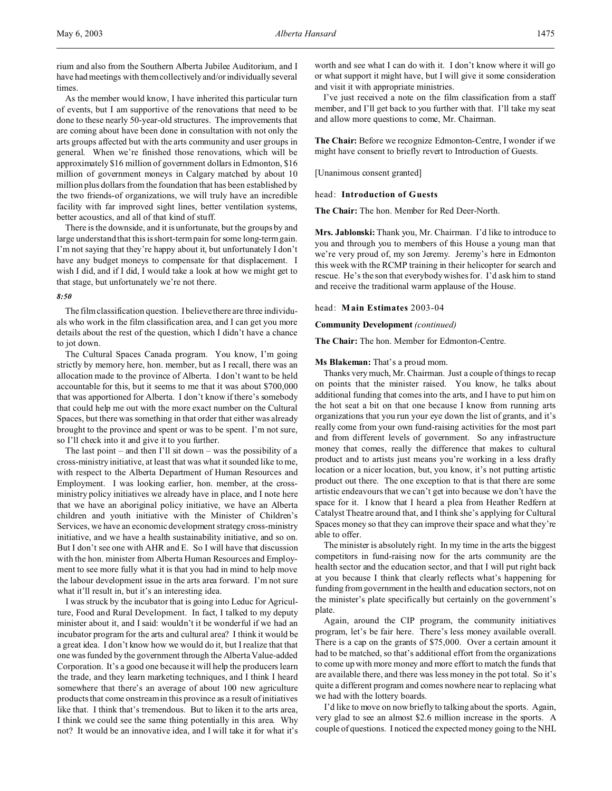rium and also from the Southern Alberta Jubilee Auditorium, and I have had meetings with them collectively and/or individually several times.

As the member would know, I have inherited this particular turn of events, but I am supportive of the renovations that need to be done to these nearly 50-year-old structures. The improvements that are coming about have been done in consultation with not only the arts groups affected but with the arts community and user groups in general. When we're finished those renovations, which will be approximately \$16 million of government dollars in Edmonton, \$16 million of government moneys in Calgary matched by about 10 million plus dollars from the foundation that has been established by the two friends-of organizations, we will truly have an incredible facility with far improved sight lines, better ventilation systems, better acoustics, and all of that kind of stuff.

There is the downside, and it is unfortunate, but the groups by and large understand that this is short-term pain for some long-term gain. I'm not saying that they're happy about it, but unfortunately I don't have any budget moneys to compensate for that displacement. I wish I did, and if I did, I would take a look at how we might get to that stage, but unfortunately we're not there.

### *8:50*

The film classification question. I believe there are three individuals who work in the film classification area, and I can get you more details about the rest of the question, which I didn't have a chance to jot down.

The Cultural Spaces Canada program. You know, I'm going strictly by memory here, hon. member, but as I recall, there was an allocation made to the province of Alberta. I don't want to be held accountable for this, but it seems to me that it was about \$700,000 that was apportioned for Alberta. I don't know if there's somebody that could help me out with the more exact number on the Cultural Spaces, but there was something in that order that either was already brought to the province and spent or was to be spent. I'm not sure, so I'll check into it and give it to you further.

The last point – and then I'll sit down – was the possibility of a cross-ministry initiative, at least that was what it sounded like to me, with respect to the Alberta Department of Human Resources and Employment. I was looking earlier, hon. member, at the crossministry policy initiatives we already have in place, and I note here that we have an aboriginal policy initiative, we have an Alberta children and youth initiative with the Minister of Children's Services, we have an economic development strategy cross-ministry initiative, and we have a health sustainability initiative, and so on. But I don't see one with AHR and E. So I will have that discussion with the hon. minister from Alberta Human Resources and Employment to see more fully what it is that you had in mind to help move the labour development issue in the arts area forward. I'm not sure what it'll result in, but it's an interesting idea.

I was struck by the incubator that is going into Leduc for Agriculture, Food and Rural Development. In fact, I talked to my deputy minister about it, and I said: wouldn't it be wonderful if we had an incubator program for the arts and cultural area? I think it would be a great idea. I don't know how we would do it, but I realize that that one was funded by the government through the Alberta Value-added Corporation. It's a good one because it will help the producers learn the trade, and they learn marketing techniques, and I think I heard somewhere that there's an average of about 100 new agriculture products that come onstream in this province as a result of initiatives like that. I think that's tremendous. But to liken it to the arts area, I think we could see the same thing potentially in this area. Why not? It would be an innovative idea, and I will take it for what it's worth and see what I can do with it. I don't know where it will go or what support it might have, but I will give it some consideration and visit it with appropriate ministries.

I've just received a note on the film classification from a staff member, and I'll get back to you further with that. I'll take my seat and allow more questions to come, Mr. Chairman.

**The Chair:** Before we recognize Edmonton-Centre, I wonder if we might have consent to briefly revert to Introduction of Guests.

[Unanimous consent granted]

head: **Introduction of Guests**

**The Chair:** The hon. Member for Red Deer-North.

**Mrs. Jablonski:** Thank you, Mr. Chairman. I'd like to introduce to you and through you to members of this House a young man that we're very proud of, my son Jeremy. Jeremy's here in Edmonton this week with the RCMP training in their helicopter for search and rescue. He's the son that everybody wishes for. I'd ask him to stand and receive the traditional warm applause of the House.

head: **Main Estimates** 2003-04

**Community Development** *(continued)*

**The Chair:** The hon. Member for Edmonton-Centre.

#### **Ms Blakeman:** That's a proud mom.

Thanks very much, Mr. Chairman. Just a couple of things to recap on points that the minister raised. You know, he talks about additional funding that comes into the arts, and I have to put him on the hot seat a bit on that one because I know from running arts organizations that you run your eye down the list of grants, and it's really come from your own fund-raising activities for the most part and from different levels of government. So any infrastructure money that comes, really the difference that makes to cultural product and to artists just means you're working in a less drafty location or a nicer location, but, you know, it's not putting artistic product out there. The one exception to that is that there are some artistic endeavours that we can't get into because we don't have the space for it. I know that I heard a plea from Heather Redfern at Catalyst Theatre around that, and I think she's applying for Cultural Spaces money so that they can improve their space and what they're able to offer.

The minister is absolutely right. In my time in the arts the biggest competitors in fund-raising now for the arts community are the health sector and the education sector, and that I will put right back at you because I think that clearly reflects what's happening for funding from government in the health and education sectors, not on the minister's plate specifically but certainly on the government's plate.

Again, around the CIP program, the community initiatives program, let's be fair here. There's less money available overall. There is a cap on the grants of \$75,000. Over a certain amount it had to be matched, so that's additional effort from the organizations to come up with more money and more effort to match the funds that are available there, and there was less money in the pot total. So it's quite a different program and comes nowhere near to replacing what we had with the lottery boards.

I'd like to move on now briefly to talking about the sports. Again, very glad to see an almost \$2.6 million increase in the sports. A couple of questions. I noticed the expected money going to the NHL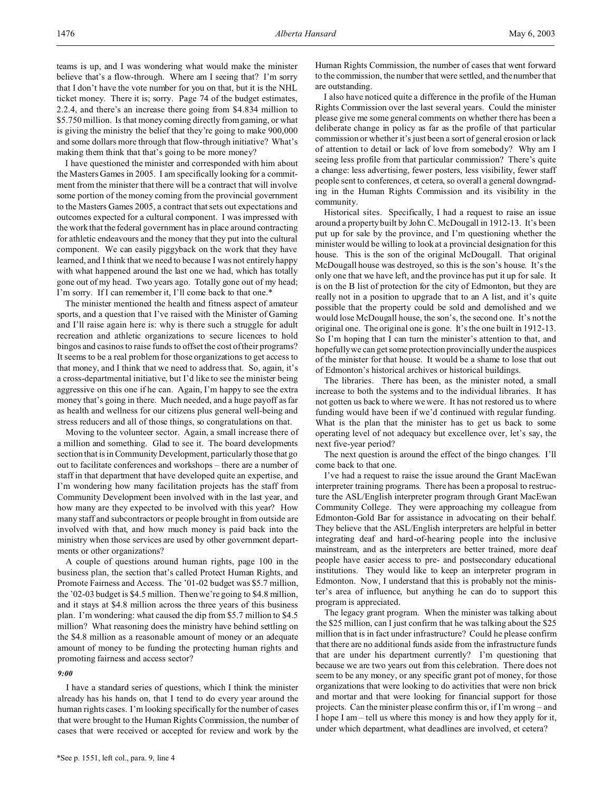teams is up, and I was wondering what would make the minister believe that's a flow-through. Where am I seeing that? I'm sorry that I don't have the vote number for you on that, but it is the NHL ticket money. There it is; sorry. Page 74 of the budget estimates, 2.2.4, and there's an increase there going from \$4.834 million to \$5.750 million. Is that money coming directly from gaming, or what is giving the ministry the belief that they're going to make 900,000 and some dollars more through that flow-through initiative? What's making them think that that's going to be more money?

I have questioned the minister and corresponded with him about the Masters Games in 2005. I am specifically looking for a commitment from the minister that there will be a contract that will involve some portion of the money coming from the provincial government to the Masters Games 2005, a contract that sets out expectations and outcomes expected for a cultural component. I was impressed with the work that the federal government has in place around contracting for athletic endeavours and the money that they put into the cultural component. We can easily piggyback on the work that they have learned, and I think that we need to because I was not entirely happy with what happened around the last one we had, which has totally gone out of my head. Two years ago. Totally gone out of my head; I'm sorry. If I can remember it, I'll come back to that one.\*

The minister mentioned the health and fitness aspect of amateur sports, and a question that I've raised with the Minister of Gaming and I'll raise again here is: why is there such a struggle for adult recreation and athletic organizations to secure licences to hold bingos and casinos to raise funds to offset the cost of their programs? It seems to be a real problem for those organizations to get access to that money, and I think that we need to address that. So, again, it's a cross-departmental initiative, but I'd like to see the minister being aggressive on this one if he can. Again, I'm happy to see the extra money that's going in there. Much needed, and a huge payoff as far as health and wellness for our citizens plus general well-being and stress reducers and all of those things, so congratulations on that.

Moving to the volunteer sector. Again, a small increase there of a million and something. Glad to see it. The board developments section that is in Community Development, particularly those that go out to facilitate conferences and workshops – there are a number of staff in that department that have developed quite an expertise, and I'm wondering how many facilitation projects has the staff from Community Development been involved with in the last year, and how many are they expected to be involved with this year? How many staff and subcontractors or people brought in from outside are involved with that, and how much money is paid back into the ministry when those services are used by other government departments or other organizations?

A couple of questions around human rights, page 100 in the business plan, the section that's called Protect Human Rights, and Promote Fairness and Access. The '01-02 budget was \$5.7 million, the '02-03 budget is \$4.5 million. Then we're going to \$4.8 million, and it stays at \$4.8 million across the three years of this business plan. I'm wondering: what caused the dip from \$5.7 million to \$4.5 million? What reasoning does the ministry have behind settling on the \$4.8 million as a reasonable amount of money or an adequate amount of money to be funding the protecting human rights and promoting fairness and access sector?

#### *9:00*

I have a standard series of questions, which I think the minister already has his hands on, that I tend to do every year around the human rights cases. I'm looking specifically for the number of cases that were brought to the Human Rights Commission, the number of cases that were received or accepted for review and work by the

Human Rights Commission, the number of cases that went forward to the commission, the number that were settled, and the number that are outstanding.

I also have noticed quite a difference in the profile of the Human Rights Commission over the last several years. Could the minister please give me some general comments on whether there has been a deliberate change in policy as far as the profile of that particular commission or whether it's just been a sort of general erosion or lack of attention to detail or lack of love from somebody? Why am I seeing less profile from that particular commission? There's quite a change: less advertising, fewer posters, less visibility, fewer staff people sent to conferences, et cetera, so overall a general downgrading in the Human Rights Commission and its visibility in the community.

Historical sites. Specifically, I had a request to raise an issue around a property built by John C. McDougall in 1912-13. It's been put up for sale by the province, and I'm questioning whether the minister would be willing to look at a provincial designation for this house. This is the son of the original McDougall. That original McDougall house was destroyed, so this is the son's house. It's the only one that we have left, and the province has put it up for sale. It is on the B list of protection for the city of Edmonton, but they are really not in a position to upgrade that to an A list, and it's quite possible that the property could be sold and demolished and we would lose McDougall house, the son's, the second one. It's not the original one. The original one is gone. It's the one built in 1912-13. So I'm hoping that I can turn the minister's attention to that, and hopefully we can get some protection provincially under the auspices of the minister for that house. It would be a shame to lose that out of Edmonton's historical archives or historical buildings.

The libraries. There has been, as the minister noted, a small increase to both the systems and to the individual libraries. It has not gotten us back to where we were. It has not restored us to where funding would have been if we'd continued with regular funding. What is the plan that the minister has to get us back to some operating level of not adequacy but excellence over, let's say, the next five-year period?

The next question is around the effect of the bingo changes. I'll come back to that one.

I've had a request to raise the issue around the Grant MacEwan interpreter training programs. There has been a proposal to restructure the ASL/English interpreter program through Grant MacEwan Community College. They were approaching my colleague from Edmonton-Gold Bar for assistance in advocating on their behalf. They believe that the ASL/English interpreters are helpful in better integrating deaf and hard-of-hearing people into the inclusive mainstream, and as the interpreters are better trained, more deaf people have easier access to pre- and postsecondary educational institutions. They would like to keep an interpreter program in Edmonton. Now, I understand that this is probably not the minister's area of influence, but anything he can do to support this program is appreciated.

The legacy grant program. When the minister was talking about the \$25 million, can I just confirm that he was talking about the \$25 million that is in fact under infrastructure? Could he please confirm that there are no additional funds aside from the infrastructure funds that are under his department currently? I'm questioning that because we are two years out from this celebration. There does not seem to be any money, or any specific grant pot of money, for those organizations that were looking to do activities that were non brick and mortar and that were looking for financial support for those projects. Can the minister please confirm this or, if I'm wrong – and I hope I am – tell us where this money is and how they apply for it, under which department, what deadlines are involved, et cetera?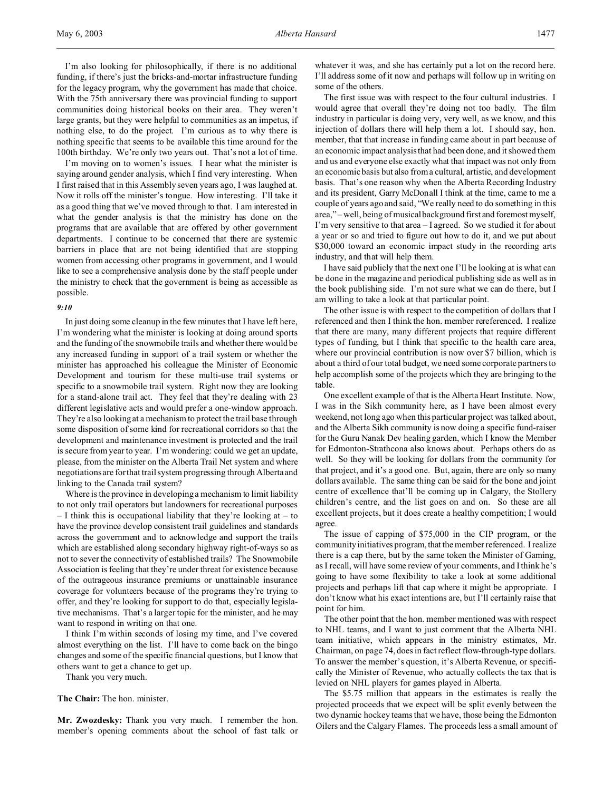I'm also looking for philosophically, if there is no additional funding, if there's just the bricks-and-mortar infrastructure funding for the legacy program, why the government has made that choice. With the 75th anniversary there was provincial funding to support communities doing historical books on their area. They weren't large grants, but they were helpful to communities as an impetus, if nothing else, to do the project. I'm curious as to why there is nothing specific that seems to be available this time around for the 100th birthday. We're only two years out. That's not a lot of time.

I'm moving on to women's issues. I hear what the minister is saying around gender analysis, which I find very interesting. When I first raised that in this Assembly seven years ago, I was laughed at. Now it rolls off the minister's tongue. How interesting. I'll take it as a good thing that we've moved through to that. I am interested in what the gender analysis is that the ministry has done on the programs that are available that are offered by other government departments. I continue to be concerned that there are systemic barriers in place that are not being identified that are stopping women from accessing other programs in government, and I would like to see a comprehensive analysis done by the staff people under the ministry to check that the government is being as accessible as possible.

#### *9:10*

In just doing some cleanup in the few minutes that I have left here, I'm wondering what the minister is looking at doing around sports and the funding of the snowmobile trails and whether there would be any increased funding in support of a trail system or whether the minister has approached his colleague the Minister of Economic Development and tourism for these multi-use trail systems or specific to a snowmobile trail system. Right now they are looking for a stand-alone trail act. They feel that they're dealing with 23 different legislative acts and would prefer a one-window approach. They're also looking at a mechanism to protect the trail base through some disposition of some kind for recreational corridors so that the development and maintenance investment is protected and the trail is secure from year to year. I'm wondering: could we get an update, please, from the minister on the Alberta Trail Net system and where negotiations are for that trail system progressing through Alberta and linking to the Canada trail system?

Where is the province in developing a mechanism to limit liability to not only trail operators but landowners for recreational purposes – I think this is occupational liability that they're looking at – to have the province develop consistent trail guidelines and standards across the government and to acknowledge and support the trails which are established along secondary highway right-of-ways so as not to sever the connectivity of established trails? The Snowmobile Association is feeling that they're under threat for existence because of the outrageous insurance premiums or unattainable insurance coverage for volunteers because of the programs they're trying to offer, and they're looking for support to do that, especially legislative mechanisms. That's a larger topic for the minister, and he may want to respond in writing on that one.

I think I'm within seconds of losing my time, and I've covered almost everything on the list. I'll have to come back on the bingo changes and some of the specific financial questions, but I know that others want to get a chance to get up.

Thank you very much.

**The Chair:** The hon. minister.

**Mr. Zwozdesky:** Thank you very much. I remember the hon. member's opening comments about the school of fast talk or whatever it was, and she has certainly put a lot on the record here. I'll address some of it now and perhaps will follow up in writing on some of the others.

The first issue was with respect to the four cultural industries. I would agree that overall they're doing not too badly. The film industry in particular is doing very, very well, as we know, and this injection of dollars there will help them a lot. I should say, hon. member, that that increase in funding came about in part because of an economic impact analysis that had been done, and it showed them and us and everyone else exactly what that impact was not only from an economic basis but also from a cultural, artistic, and development basis. That's one reason why when the Alberta Recording Industry and its president, Garry McDonall I think at the time, came to me a couple of years ago and said, "We really need to do something in this area," – well, being of musical background first and foremost myself, I'm very sensitive to that area – I agreed. So we studied it for about a year or so and tried to figure out how to do it, and we put about \$30,000 toward an economic impact study in the recording arts industry, and that will help them.

I have said publicly that the next one I'll be looking at is what can be done in the magazine and periodical publishing side as well as in the book publishing side. I'm not sure what we can do there, but I am willing to take a look at that particular point.

The other issue is with respect to the competition of dollars that I referenced and then I think the hon. member rereferenced. I realize that there are many, many different projects that require different types of funding, but I think that specific to the health care area, where our provincial contribution is now over \$7 billion, which is about a third of our total budget, we need some corporate partners to help accomplish some of the projects which they are bringing to the table.

One excellent example of that is the Alberta Heart Institute. Now, I was in the Sikh community here, as I have been almost every weekend, not long ago when this particular project was talked about, and the Alberta Sikh community is now doing a specific fund-raiser for the Guru Nanak Dev healing garden, which I know the Member for Edmonton-Strathcona also knows about. Perhaps others do as well. So they will be looking for dollars from the community for that project, and it's a good one. But, again, there are only so many dollars available. The same thing can be said for the bone and joint centre of excellence that'll be coming up in Calgary, the Stollery children's centre, and the list goes on and on. So these are all excellent projects, but it does create a healthy competition; I would agree.

The issue of capping of \$75,000 in the CIP program, or the community initiatives program, that the member referenced. I realize there is a cap there, but by the same token the Minister of Gaming, as I recall, will have some review of your comments, and I think he's going to have some flexibility to take a look at some additional projects and perhaps lift that cap where it might be appropriate. I don't know what his exact intentions are, but I'll certainly raise that point for him.

The other point that the hon. member mentioned was with respect to NHL teams, and I want to just comment that the Alberta NHL team initiative, which appears in the ministry estimates, Mr. Chairman, on page 74, does in fact reflect flow-through-type dollars. To answer the member's question, it's Alberta Revenue, or specifically the Minister of Revenue, who actually collects the tax that is levied on NHL players for games played in Alberta.

The \$5.75 million that appears in the estimates is really the projected proceeds that we expect will be split evenly between the two dynamic hockey teams that we have, those being the Edmonton Oilers and the Calgary Flames. The proceeds less a small amount of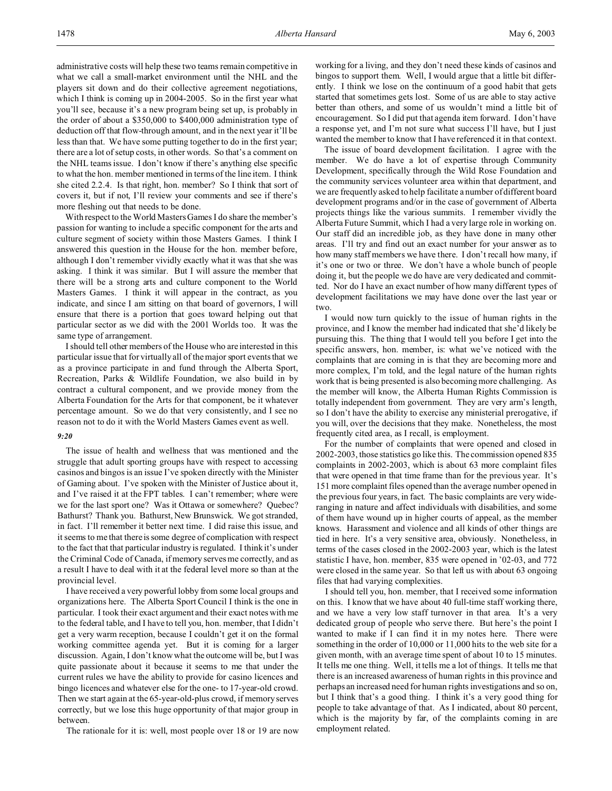administrative costs will help these two teams remain competitive in what we call a small-market environment until the NHL and the players sit down and do their collective agreement negotiations, which I think is coming up in 2004-2005. So in the first year what you'll see, because it's a new program being set up, is probably in the order of about a \$350,000 to \$400,000 administration type of deduction off that flow-through amount, and in the next year it'll be less than that. We have some putting together to do in the first year; there are a lot of setup costs, in other words. So that's a comment on the NHL teams issue. I don't know if there's anything else specific to what the hon. member mentioned in terms of the line item. I think she cited 2.2.4. Is that right, hon. member? So I think that sort of covers it, but if not, I'll review your comments and see if there's more fleshing out that needs to be done.

With respect to the World Masters Games I do share the member's passion for wanting to include a specific component for the arts and culture segment of society within those Masters Games. I think I answered this question in the House for the hon. member before, although I don't remember vividly exactly what it was that she was asking. I think it was similar. But I will assure the member that there will be a strong arts and culture component to the World Masters Games. I think it will appear in the contract, as you indicate, and since I am sitting on that board of governors, I will ensure that there is a portion that goes toward helping out that particular sector as we did with the 2001 Worlds too. It was the same type of arrangement.

I should tell other members of the House who are interested in this particular issue that for virtually all of the major sport events that we as a province participate in and fund through the Alberta Sport, Recreation, Parks & Wildlife Foundation, we also build in by contract a cultural component, and we provide money from the Alberta Foundation for the Arts for that component, be it whatever percentage amount. So we do that very consistently, and I see no reason not to do it with the World Masters Games event as well.

#### *9:20*

The issue of health and wellness that was mentioned and the struggle that adult sporting groups have with respect to accessing casinos and bingos is an issue I've spoken directly with the Minister of Gaming about. I've spoken with the Minister of Justice about it, and I've raised it at the FPT tables. I can't remember; where were we for the last sport one? Was it Ottawa or somewhere? Quebec? Bathurst? Thank you. Bathurst, New Brunswick. We got stranded, in fact. I'll remember it better next time. I did raise this issue, and it seems to me that there is some degree of complication with respect to the fact that that particular industry is regulated. I think it's under the Criminal Code of Canada, if memory serves me correctly, and as a result I have to deal with it at the federal level more so than at the provincial level.

I have received a very powerful lobby from some local groups and organizations here. The Alberta Sport Council I think is the one in particular. I took their exact argument and their exact notes with me to the federal table, and I have to tell you, hon. member, that I didn't get a very warm reception, because I couldn't get it on the formal working committee agenda yet. But it is coming for a larger discussion. Again, I don't know what the outcome will be, but I was quite passionate about it because it seems to me that under the current rules we have the ability to provide for casino licences and bingo licences and whatever else for the one- to 17-year-old crowd. Then we start again at the 65-year-old-plus crowd, if memory serves correctly, but we lose this huge opportunity of that major group in between.

The rationale for it is: well, most people over 18 or 19 are now

working for a living, and they don't need these kinds of casinos and bingos to support them. Well, I would argue that a little bit differently. I think we lose on the continuum of a good habit that gets started that sometimes gets lost. Some of us are able to stay active better than others, and some of us wouldn't mind a little bit of encouragement. So I did put that agenda item forward. I don't have a response yet, and I'm not sure what success I'll have, but I just wanted the member to know that I have referenced it in that context.

The issue of board development facilitation. I agree with the member. We do have a lot of expertise through Community Development, specifically through the Wild Rose Foundation and the community services volunteer area within that department, and we are frequently asked to help facilitate a number of different board development programs and/or in the case of government of Alberta projects things like the various summits. I remember vividly the Alberta Future Summit, which I had a very large role in working on. Our staff did an incredible job, as they have done in many other areas. I'll try and find out an exact number for your answer as to how many staff members we have there. I don't recall how many, if it's one or two or three. We don't have a whole bunch of people doing it, but the people we do have are very dedicated and committed. Nor do I have an exact number of how many different types of development facilitations we may have done over the last year or two.

I would now turn quickly to the issue of human rights in the province, and I know the member had indicated that she'd likely be pursuing this. The thing that I would tell you before I get into the specific answers, hon. member, is: what we've noticed with the complaints that are coming in is that they are becoming more and more complex, I'm told, and the legal nature of the human rights work that is being presented is also becoming more challenging. As the member will know, the Alberta Human Rights Commission is totally independent from government. They are very arm's length, so I don't have the ability to exercise any ministerial prerogative, if you will, over the decisions that they make. Nonetheless, the most frequently cited area, as I recall, is employment.

For the number of complaints that were opened and closed in 2002-2003, those statistics go like this. The commission opened 835 complaints in 2002-2003, which is about 63 more complaint files that were opened in that time frame than for the previous year. It's 151 more complaint files opened than the average number opened in the previous four years, in fact. The basic complaints are very wideranging in nature and affect individuals with disabilities, and some of them have wound up in higher courts of appeal, as the member knows. Harassment and violence and all kinds of other things are tied in here. It's a very sensitive area, obviously. Nonetheless, in terms of the cases closed in the 2002-2003 year, which is the latest statistic I have, hon. member, 835 were opened in '02-03, and 772 were closed in the same year. So that left us with about 63 ongoing files that had varying complexities.

I should tell you, hon. member, that I received some information on this. I know that we have about 40 full-time staff working there, and we have a very low staff turnover in that area. It's a very dedicated group of people who serve there. But here's the point I wanted to make if I can find it in my notes here. There were something in the order of 10,000 or 11,000 hits to the web site for a given month, with an average time spent of about 10 to 15 minutes. It tells me one thing. Well, it tells me a lot of things. It tells me that there is an increased awareness of human rights in this province and perhaps an increased need for human rights investigations and so on, but I think that's a good thing. I think it's a very good thing for people to take advantage of that. As I indicated, about 80 percent, which is the majority by far, of the complaints coming in are employment related.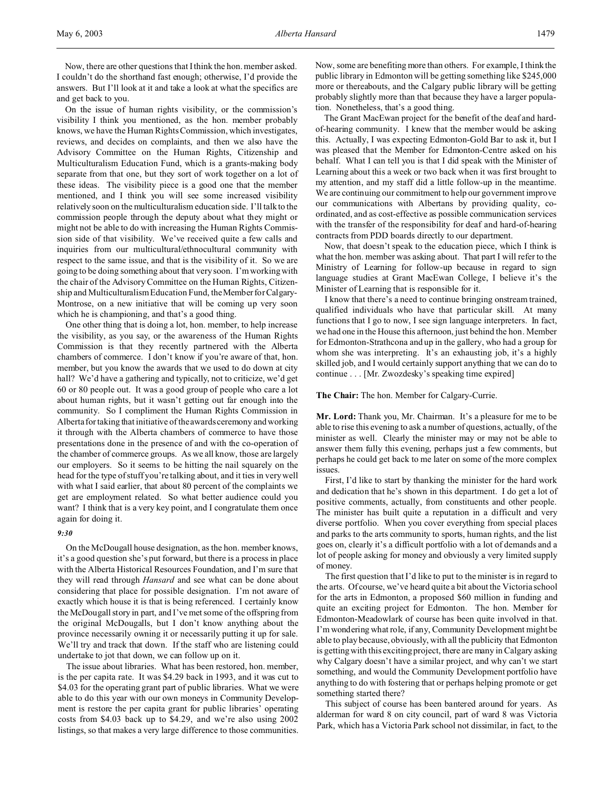Now, there are other questions that I think the hon. member asked. I couldn't do the shorthand fast enough; otherwise, I'd provide the answers. But I'll look at it and take a look at what the specifics are and get back to you.

On the issue of human rights visibility, or the commission's visibility I think you mentioned, as the hon. member probably knows, we have the Human Rights Commission, which investigates, reviews, and decides on complaints, and then we also have the Advisory Committee on the Human Rights, Citizenship and Multiculturalism Education Fund, which is a grants-making body separate from that one, but they sort of work together on a lot of these ideas. The visibility piece is a good one that the member mentioned, and I think you will see some increased visibility relatively soon on the multiculturalism education side. I'll talk to the commission people through the deputy about what they might or might not be able to do with increasing the Human Rights Commission side of that visibility. We've received quite a few calls and inquiries from our multicultural/ethnocultural community with respect to the same issue, and that is the visibility of it. So we are going to be doing something about that very soon. I'm working with the chair of the Advisory Committee on the Human Rights, Citizenship and Multiculturalism Education Fund, the Member for Calgary-Montrose, on a new initiative that will be coming up very soon which he is championing, and that's a good thing.

One other thing that is doing a lot, hon. member, to help increase the visibility, as you say, or the awareness of the Human Rights Commission is that they recently partnered with the Alberta chambers of commerce. I don't know if you're aware of that, hon. member, but you know the awards that we used to do down at city hall? We'd have a gathering and typically, not to criticize, we'd get 60 or 80 people out. It was a good group of people who care a lot about human rights, but it wasn't getting out far enough into the community. So I compliment the Human Rights Commission in Alberta for taking that initiative of the awards ceremony and working it through with the Alberta chambers of commerce to have those presentations done in the presence of and with the co-operation of the chamber of commerce groups. As we all know, those are largely our employers. So it seems to be hitting the nail squarely on the head for the type of stuff you're talking about, and it ties in very well with what I said earlier, that about 80 percent of the complaints we get are employment related. So what better audience could you want? I think that is a very key point, and I congratulate them once again for doing it.

### *9:30*

On the McDougall house designation, as the hon. member knows, it's a good question she's put forward, but there is a process in place with the Alberta Historical Resources Foundation, and I'm sure that they will read through *Hansard* and see what can be done about considering that place for possible designation. I'm not aware of exactly which house it is that is being referenced. I certainly know the McDougall story in part, and I've met some of the offspring from the original McDougalls, but I don't know anything about the province necessarily owning it or necessarily putting it up for sale. We'll try and track that down. If the staff who are listening could undertake to jot that down, we can follow up on it.

The issue about libraries. What has been restored, hon. member, is the per capita rate. It was \$4.29 back in 1993, and it was cut to \$4.03 for the operating grant part of public libraries. What we were able to do this year with our own moneys in Community Development is restore the per capita grant for public libraries' operating costs from \$4.03 back up to \$4.29, and we're also using 2002 listings, so that makes a very large difference to those communities.

Now, some are benefiting more than others. For example, I think the public library in Edmonton will be getting something like \$245,000 more or thereabouts, and the Calgary public library will be getting probably slightly more than that because they have a larger population. Nonetheless, that's a good thing.

The Grant MacEwan project for the benefit of the deaf and hardof-hearing community. I knew that the member would be asking this. Actually, I was expecting Edmonton-Gold Bar to ask it, but I was pleased that the Member for Edmonton-Centre asked on his behalf. What I can tell you is that I did speak with the Minister of Learning about this a week or two back when it was first brought to my attention, and my staff did a little follow-up in the meantime. We are continuing our commitment to help our government improve our communications with Albertans by providing quality, coordinated, and as cost-effective as possible communication services with the transfer of the responsibility for deaf and hard-of-hearing contracts from PDD boards directly to our department.

Now, that doesn't speak to the education piece, which I think is what the hon. member was asking about. That part I will refer to the Ministry of Learning for follow-up because in regard to sign language studies at Grant MacEwan College, I believe it's the Minister of Learning that is responsible for it.

I know that there's a need to continue bringing onstream trained, qualified individuals who have that particular skill. At many functions that I go to now, I see sign language interpreters. In fact, we had one in the House this afternoon, just behind the hon. Member for Edmonton-Strathcona and up in the gallery, who had a group for whom she was interpreting. It's an exhausting job, it's a highly skilled job, and I would certainly support anything that we can do to continue . . . [Mr. Zwozdesky's speaking time expired]

### **The Chair:** The hon. Member for Calgary-Currie.

**Mr. Lord:** Thank you, Mr. Chairman. It's a pleasure for me to be able to rise this evening to ask a number of questions, actually, of the minister as well. Clearly the minister may or may not be able to answer them fully this evening, perhaps just a few comments, but perhaps he could get back to me later on some of the more complex issues.

First, I'd like to start by thanking the minister for the hard work and dedication that he's shown in this department. I do get a lot of positive comments, actually, from constituents and other people. The minister has built quite a reputation in a difficult and very diverse portfolio. When you cover everything from special places and parks to the arts community to sports, human rights, and the list goes on, clearly it's a difficult portfolio with a lot of demands and a lot of people asking for money and obviously a very limited supply of money.

The first question that I'd like to put to the minister is in regard to the arts. Of course, we've heard quite a bit about the Victoria school for the arts in Edmonton, a proposed \$60 million in funding and quite an exciting project for Edmonton. The hon. Member for Edmonton-Meadowlark of course has been quite involved in that. I'm wondering what role, if any, Community Development might be able to play because, obviously, with all the publicity that Edmonton is getting with this exciting project, there are many in Calgary asking why Calgary doesn't have a similar project, and why can't we start something, and would the Community Development portfolio have anything to do with fostering that or perhaps helping promote or get something started there?

This subject of course has been bantered around for years. As alderman for ward 8 on city council, part of ward 8 was Victoria Park, which has a Victoria Park school not dissimilar, in fact, to the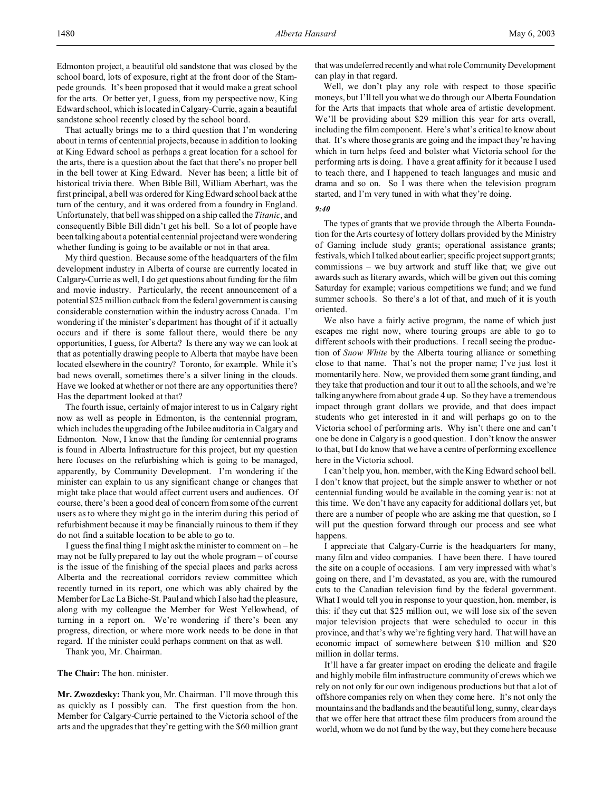That actually brings me to a third question that I'm wondering about in terms of centennial projects, because in addition to looking at King Edward school as perhaps a great location for a school for the arts, there is a question about the fact that there's no proper bell in the bell tower at King Edward. Never has been; a little bit of historical trivia there. When Bible Bill, William Aberhart, was the first principal, a bell was ordered for King Edward school back at the turn of the century, and it was ordered from a foundry in England. Unfortunately, that bell was shipped on a ship called the *Titanic*, and consequently Bible Bill didn't get his bell. So a lot of people have been talking about a potential centennial project and were wondering whether funding is going to be available or not in that area.

My third question. Because some of the headquarters of the film development industry in Alberta of course are currently located in Calgary-Currie as well, I do get questions about funding for the film and movie industry. Particularly, the recent announcement of a potential \$25 million cutback from the federal government is causing considerable consternation within the industry across Canada. I'm wondering if the minister's department has thought of if it actually occurs and if there is some fallout there, would there be any opportunities, I guess, for Alberta? Is there any way we can look at that as potentially drawing people to Alberta that maybe have been located elsewhere in the country? Toronto, for example. While it's bad news overall, sometimes there's a silver lining in the clouds. Have we looked at whether or not there are any opportunities there? Has the department looked at that?

The fourth issue, certainly of major interest to us in Calgary right now as well as people in Edmonton, is the centennial program, which includes the upgrading of the Jubilee auditoria in Calgary and Edmonton. Now, I know that the funding for centennial programs is found in Alberta Infrastructure for this project, but my question here focuses on the refurbishing which is going to be managed, apparently, by Community Development. I'm wondering if the minister can explain to us any significant change or changes that might take place that would affect current users and audiences. Of course, there's been a good deal of concern from some of the current users as to where they might go in the interim during this period of refurbishment because it may be financially ruinous to them if they do not find a suitable location to be able to go to.

I guess the final thing I might ask the minister to comment on – he may not be fully prepared to lay out the whole program – of course is the issue of the finishing of the special places and parks across Alberta and the recreational corridors review committee which recently turned in its report, one which was ably chaired by the Member for Lac La Biche-St. Paul and which I also had the pleasure, along with my colleague the Member for West Yellowhead, of turning in a report on. We're wondering if there's been any progress, direction, or where more work needs to be done in that regard. If the minister could perhaps comment on that as well.

Thank you, Mr. Chairman.

**The Chair:** The hon. minister.

**Mr. Zwozdesky:** Thank you, Mr. Chairman. I'll move through this as quickly as I possibly can. The first question from the hon. Member for Calgary-Currie pertained to the Victoria school of the arts and the upgrades that they're getting with the \$60 million grant that was undeferred recently and what role Community Development can play in that regard.

Well, we don't play any role with respect to those specific moneys, but I'll tell you what we do through our Alberta Foundation for the Arts that impacts that whole area of artistic development. We'll be providing about \$29 million this year for arts overall, including the film component. Here's what's critical to know about that. It's where those grants are going and the impact they're having which in turn helps feed and bolster what Victoria school for the performing arts is doing. I have a great affinity for it because I used to teach there, and I happened to teach languages and music and drama and so on. So I was there when the television program started, and I'm very tuned in with what they're doing.

#### *9:40*

The types of grants that we provide through the Alberta Foundation for the Arts courtesy of lottery dollars provided by the Ministry of Gaming include study grants; operational assistance grants; festivals, which I talked about earlier; specific project support grants; commissions – we buy artwork and stuff like that; we give out awards such as literary awards, which will be given out this coming Saturday for example; various competitions we fund; and we fund summer schools. So there's a lot of that, and much of it is youth oriented.

We also have a fairly active program, the name of which just escapes me right now, where touring groups are able to go to different schools with their productions. I recall seeing the production of *Snow White* by the Alberta touring alliance or something close to that name. That's not the proper name; I've just lost it momentarily here. Now, we provided them some grant funding, and they take that production and tour it out to all the schools, and we're talking anywhere from about grade 4 up. So they have a tremendous impact through grant dollars we provide, and that does impact students who get interested in it and will perhaps go on to the Victoria school of performing arts. Why isn't there one and can't one be done in Calgary is a good question. I don't know the answer to that, but I do know that we have a centre of performing excellence here in the Victoria school.

I can't help you, hon. member, with the King Edward school bell. I don't know that project, but the simple answer to whether or not centennial funding would be available in the coming year is: not at this time. We don't have any capacity for additional dollars yet, but there are a number of people who are asking me that question, so I will put the question forward through our process and see what happens.

I appreciate that Calgary-Currie is the headquarters for many, many film and video companies. I have been there. I have toured the site on a couple of occasions. I am very impressed with what's going on there, and I'm devastated, as you are, with the rumoured cuts to the Canadian television fund by the federal government. What I would tell you in response to your question, hon. member, is this: if they cut that \$25 million out, we will lose six of the seven major television projects that were scheduled to occur in this province, and that's why we're fighting very hard. That will have an economic impact of somewhere between \$10 million and \$20 million in dollar terms.

It'll have a far greater impact on eroding the delicate and fragile and highly mobile film infrastructure community of crews which we rely on not only for our own indigenous productions but that a lot of offshore companies rely on when they come here. It's not only the mountains and the badlands and the beautiful long, sunny, clear days that we offer here that attract these film producers from around the world, whom we do not fund by the way, but they come here because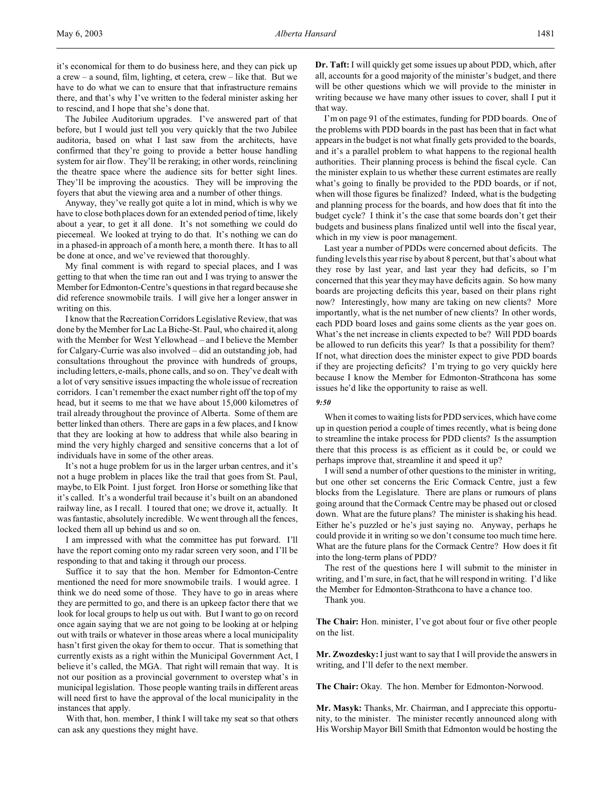it's economical for them to do business here, and they can pick up a crew – a sound, film, lighting, et cetera, crew – like that. But we have to do what we can to ensure that that infrastructure remains there, and that's why I've written to the federal minister asking her to rescind, and I hope that she's done that.

The Jubilee Auditorium upgrades. I've answered part of that before, but I would just tell you very quickly that the two Jubilee auditoria, based on what I last saw from the architects, have confirmed that they're going to provide a better house handling system for air flow. They'll be reraking; in other words, reinclining the theatre space where the audience sits for better sight lines. They'll be improving the acoustics. They will be improving the foyers that abut the viewing area and a number of other things.

Anyway, they've really got quite a lot in mind, which is why we have to close both places down for an extended period of time, likely about a year, to get it all done. It's not something we could do piecemeal. We looked at trying to do that. It's nothing we can do in a phased-in approach of a month here, a month there. It has to all be done at once, and we've reviewed that thoroughly.

My final comment is with regard to special places, and I was getting to that when the time ran out and I was trying to answer the Member for Edmonton-Centre's questions in that regard because she did reference snowmobile trails. I will give her a longer answer in writing on this.

I know that the Recreation Corridors Legislative Review, that was done by the Member for Lac La Biche-St. Paul, who chaired it, along with the Member for West Yellowhead – and I believe the Member for Calgary-Currie was also involved – did an outstanding job, had consultations throughout the province with hundreds of groups, including letters, e-mails, phone calls, and so on. They've dealt with a lot of very sensitive issues impacting the whole issue of recreation corridors. I can't remember the exact number right off the top of my head, but it seems to me that we have about 15,000 kilometres of trail already throughout the province of Alberta. Some of them are better linked than others. There are gaps in a few places, and I know that they are looking at how to address that while also bearing in mind the very highly charged and sensitive concerns that a lot of individuals have in some of the other areas.

It's not a huge problem for us in the larger urban centres, and it's not a huge problem in places like the trail that goes from St. Paul, maybe, to Elk Point. I just forget. Iron Horse or something like that it's called. It's a wonderful trail because it's built on an abandoned railway line, as I recall. I toured that one; we drove it, actually. It was fantastic, absolutely incredible. We went through all the fences, locked them all up behind us and so on.

I am impressed with what the committee has put forward. I'll have the report coming onto my radar screen very soon, and I'll be responding to that and taking it through our process.

Suffice it to say that the hon. Member for Edmonton-Centre mentioned the need for more snowmobile trails. I would agree. I think we do need some of those. They have to go in areas where they are permitted to go, and there is an upkeep factor there that we look for local groups to help us out with. But I want to go on record once again saying that we are not going to be looking at or helping out with trails or whatever in those areas where a local municipality hasn't first given the okay for them to occur. That is something that currently exists as a right within the Municipal Government Act, I believe it's called, the MGA. That right will remain that way. It is not our position as a provincial government to overstep what's in municipal legislation. Those people wanting trails in different areas will need first to have the approval of the local municipality in the instances that apply.

With that, hon. member, I think I will take my seat so that others can ask any questions they might have.

**Dr. Taft:** I will quickly get some issues up about PDD, which, after all, accounts for a good majority of the minister's budget, and there will be other questions which we will provide to the minister in writing because we have many other issues to cover, shall I put it that way.

I'm on page 91 of the estimates, funding for PDD boards. One of the problems with PDD boards in the past has been that in fact what appears in the budget is not what finally gets provided to the boards, and it's a parallel problem to what happens to the regional health authorities. Their planning process is behind the fiscal cycle. Can the minister explain to us whether these current estimates are really what's going to finally be provided to the PDD boards, or if not, when will those figures be finalized? Indeed, what is the budgeting and planning process for the boards, and how does that fit into the budget cycle? I think it's the case that some boards don't get their budgets and business plans finalized until well into the fiscal year, which in my view is poor management.

Last year a number of PDDs were concerned about deficits. The funding levels this year rise by about 8 percent, but that's about what they rose by last year, and last year they had deficits, so I'm concerned that this year they may have deficits again. So how many boards are projecting deficits this year, based on their plans right now? Interestingly, how many are taking on new clients? More importantly, what is the net number of new clients? In other words, each PDD board loses and gains some clients as the year goes on. What's the net increase in clients expected to be? Will PDD boards be allowed to run deficits this year? Is that a possibility for them? If not, what direction does the minister expect to give PDD boards if they are projecting deficits? I'm trying to go very quickly here because I know the Member for Edmonton-Strathcona has some issues he'd like the opportunity to raise as well.

#### *9:50*

When it comes to waiting lists for PDD services, which have come up in question period a couple of times recently, what is being done to streamline the intake process for PDD clients? Is the assumption there that this process is as efficient as it could be, or could we perhaps improve that, streamline it and speed it up?

I will send a number of other questions to the minister in writing, but one other set concerns the Eric Cormack Centre, just a few blocks from the Legislature. There are plans or rumours of plans going around that the Cormack Centre may be phased out or closed down. What are the future plans? The minister is shaking his head. Either he's puzzled or he's just saying no. Anyway, perhaps he could provide it in writing so we don't consume too much time here. What are the future plans for the Cormack Centre? How does it fit into the long-term plans of PDD?

The rest of the questions here I will submit to the minister in writing, and I'm sure, in fact, that he will respond in writing. I'd like the Member for Edmonton-Strathcona to have a chance too.

Thank you.

**The Chair:** Hon. minister, I've got about four or five other people on the list.

**Mr. Zwozdesky:** I just want to say that I will provide the answers in writing, and I'll defer to the next member.

**The Chair:** Okay. The hon. Member for Edmonton-Norwood.

**Mr. Masyk:** Thanks, Mr. Chairman, and I appreciate this opportunity, to the minister. The minister recently announced along with His Worship Mayor Bill Smith that Edmonton would be hosting the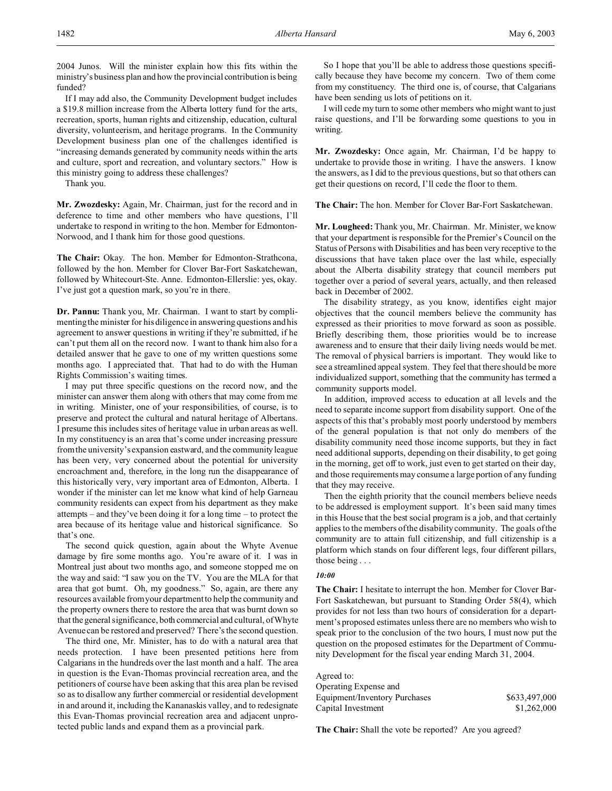2004 Junos. Will the minister explain how this fits within the ministry's business plan and how the provincial contribution is being funded?

If I may add also, the Community Development budget includes a \$19.8 million increase from the Alberta lottery fund for the arts, recreation, sports, human rights and citizenship, education, cultural diversity, volunteerism, and heritage programs. In the Community Development business plan one of the challenges identified is "increasing demands generated by community needs within the arts and culture, sport and recreation, and voluntary sectors." How is this ministry going to address these challenges?

Thank you.

**Mr. Zwozdesky:** Again, Mr. Chairman, just for the record and in deference to time and other members who have questions, I'll undertake to respond in writing to the hon. Member for Edmonton-Norwood, and I thank him for those good questions.

**The Chair:** Okay. The hon. Member for Edmonton-Strathcona, followed by the hon. Member for Clover Bar-Fort Saskatchewan, followed by Whitecourt-Ste. Anne. Edmonton-Ellerslie: yes, okay. I've just got a question mark, so you're in there.

**Dr. Pannu:** Thank you, Mr. Chairman. I want to start by complimenting the minister for his diligence in answering questions and his agreement to answer questions in writing if they're submitted, if he can't put them all on the record now. I want to thank him also for a detailed answer that he gave to one of my written questions some months ago. I appreciated that. That had to do with the Human Rights Commission's waiting times.

I may put three specific questions on the record now, and the minister can answer them along with others that may come from me in writing. Minister, one of your responsibilities, of course, is to preserve and protect the cultural and natural heritage of Albertans. I presume this includes sites of heritage value in urban areas as well. In my constituency is an area that's come under increasing pressure from the university's expansion eastward, and the community league has been very, very concerned about the potential for university encroachment and, therefore, in the long run the disappearance of this historically very, very important area of Edmonton, Alberta. I wonder if the minister can let me know what kind of help Garneau community residents can expect from his department as they make attempts – and they've been doing it for a long time – to protect the area because of its heritage value and historical significance. So that's one.

The second quick question, again about the Whyte Avenue damage by fire some months ago. You're aware of it. I was in Montreal just about two months ago, and someone stopped me on the way and said: "I saw you on the TV. You are the MLA for that area that got burnt. Oh, my goodness." So, again, are there any resources available from your department to help the community and the property owners there to restore the area that was burnt down so that the general significance, both commercial and cultural, of Whyte Avenue can be restored and preserved? There's the second question.

The third one, Mr. Minister, has to do with a natural area that needs protection. I have been presented petitions here from Calgarians in the hundreds over the last month and a half. The area in question is the Evan-Thomas provincial recreation area, and the petitioners of course have been asking that this area plan be revised so as to disallow any further commercial or residential development in and around it, including the Kananaskis valley, and to redesignate this Evan-Thomas provincial recreation area and adjacent unprotected public lands and expand them as a provincial park.

So I hope that you'll be able to address those questions specifically because they have become my concern. Two of them come from my constituency. The third one is, of course, that Calgarians have been sending us lots of petitions on it.

I will cede my turn to some other members who might want to just raise questions, and I'll be forwarding some questions to you in writing.

**Mr. Zwozdesky:** Once again, Mr. Chairman, I'd be happy to undertake to provide those in writing. I have the answers. I know the answers, as I did to the previous questions, but so that others can get their questions on record, I'll cede the floor to them.

**The Chair:** The hon. Member for Clover Bar-Fort Saskatchewan.

**Mr. Lougheed:** Thank you, Mr. Chairman. Mr. Minister, we know that your department is responsible for the Premier's Council on the Status of Persons with Disabilities and has been very receptive to the discussions that have taken place over the last while, especially about the Alberta disability strategy that council members put together over a period of several years, actually, and then released back in December of 2002.

The disability strategy, as you know, identifies eight major objectives that the council members believe the community has expressed as their priorities to move forward as soon as possible. Briefly describing them, those priorities would be to increase awareness and to ensure that their daily living needs would be met. The removal of physical barriers is important. They would like to see a streamlined appeal system. They feel that there should be more individualized support, something that the community has termed a community supports model.

In addition, improved access to education at all levels and the need to separate income support from disability support. One of the aspects of this that's probably most poorly understood by members of the general population is that not only do members of the disability community need those income supports, but they in fact need additional supports, depending on their disability, to get going in the morning, get off to work, just even to get started on their day, and those requirements may consume a large portion of any funding that they may receive.

Then the eighth priority that the council members believe needs to be addressed is employment support. It's been said many times in this House that the best social program is a job, and that certainly applies to the members of the disability community. The goals of the community are to attain full citizenship, and full citizenship is a platform which stands on four different legs, four different pillars, those being . . .

# *10:00*

**The Chair:** I hesitate to interrupt the hon. Member for Clover Bar-Fort Saskatchewan, but pursuant to Standing Order 58(4), which provides for not less than two hours of consideration for a department's proposed estimates unless there are no members who wish to speak prior to the conclusion of the two hours, I must now put the question on the proposed estimates for the Department of Community Development for the fiscal year ending March 31, 2004.

Agreed to: Operating Expense and Equipment/Inventory Purchases \$633,497,000 Capital Investment \$1,262,000

**The Chair:** Shall the vote be reported? Are you agreed?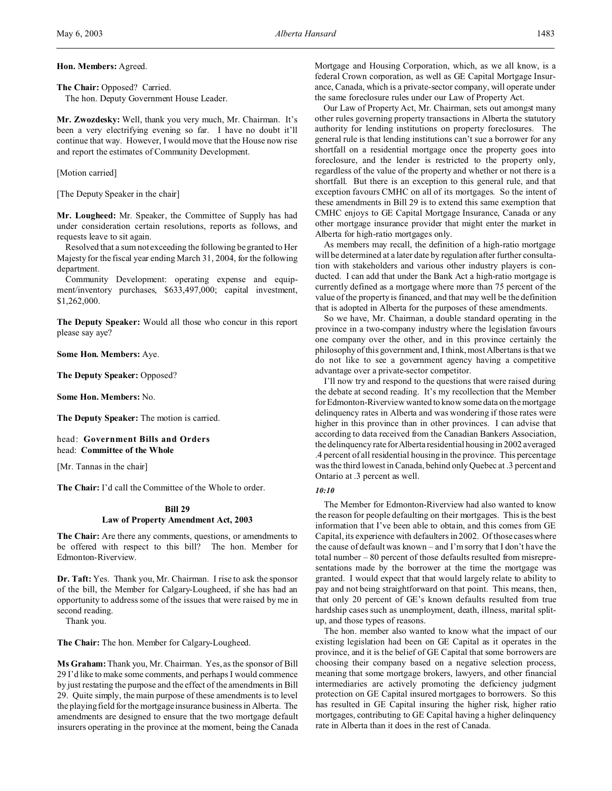**The Chair:** Opposed? Carried. The hon. Deputy Government House Leader.

**Mr. Zwozdesky:** Well, thank you very much, Mr. Chairman. It's been a very electrifying evening so far. I have no doubt it'll continue that way. However, I would move that the House now rise and report the estimates of Community Development.

### [Motion carried]

[The Deputy Speaker in the chair]

**Mr. Lougheed:** Mr. Speaker, the Committee of Supply has had under consideration certain resolutions, reports as follows, and requests leave to sit again.

Resolved that a sum not exceeding the following be granted to Her Majesty for the fiscal year ending March 31, 2004, for the following department.

Community Development: operating expense and equipment/inventory purchases, \$633,497,000; capital investment, \$1,262,000.

**The Deputy Speaker:** Would all those who concur in this report please say aye?

**Some Hon. Members:** Aye.

**The Deputy Speaker:** Opposed?

**Some Hon. Members:** No.

**The Deputy Speaker:** The motion is carried.

head: **Government Bills and Orders** head: **Committee of the Whole**

[Mr. Tannas in the chair]

**The Chair:** I'd call the Committee of the Whole to order.

## **Bill 29 Law of Property Amendment Act, 2003**

**The Chair:** Are there any comments, questions, or amendments to be offered with respect to this bill? The hon. Member for Edmonton-Riverview.

**Dr. Taft:** Yes. Thank you, Mr. Chairman. I rise to ask the sponsor of the bill, the Member for Calgary-Lougheed, if she has had an opportunity to address some of the issues that were raised by me in second reading.

Thank you.

**The Chair:** The hon. Member for Calgary-Lougheed.

**Ms Graham:** Thank you, Mr. Chairman. Yes, as the sponsor of Bill 29 I'd like to make some comments, and perhaps I would commence by just restating the purpose and the effect of the amendments in Bill 29. Quite simply, the main purpose of these amendments is to level the playing field for the mortgage insurance business in Alberta. The amendments are designed to ensure that the two mortgage default insurers operating in the province at the moment, being the Canada

Mortgage and Housing Corporation, which, as we all know, is a federal Crown corporation, as well as GE Capital Mortgage Insurance, Canada, which is a private-sector company, will operate under the same foreclosure rules under our Law of Property Act.

Our Law of Property Act, Mr. Chairman, sets out amongst many other rules governing property transactions in Alberta the statutory authority for lending institutions on property foreclosures. The general rule is that lending institutions can't sue a borrower for any shortfall on a residential mortgage once the property goes into foreclosure, and the lender is restricted to the property only, regardless of the value of the property and whether or not there is a shortfall. But there is an exception to this general rule, and that exception favours CMHC on all of its mortgages. So the intent of these amendments in Bill 29 is to extend this same exemption that CMHC enjoys to GE Capital Mortgage Insurance, Canada or any other mortgage insurance provider that might enter the market in Alberta for high-ratio mortgages only.

As members may recall, the definition of a high-ratio mortgage will be determined at a later date by regulation after further consultation with stakeholders and various other industry players is conducted. I can add that under the Bank Act a high-ratio mortgage is currently defined as a mortgage where more than 75 percent of the value of the property is financed, and that may well be the definition that is adopted in Alberta for the purposes of these amendments.

So we have, Mr. Chairman, a double standard operating in the province in a two-company industry where the legislation favours one company over the other, and in this province certainly the philosophy of this government and, I think, most Albertans is that we do not like to see a government agency having a competitive advantage over a private-sector competitor.

I'll now try and respond to the questions that were raised during the debate at second reading. It's my recollection that the Member for Edmonton-Riverview wanted to know some data on the mortgage delinquency rates in Alberta and was wondering if those rates were higher in this province than in other provinces. I can advise that according to data received from the Canadian Bankers Association, the delinquency rate forAlberta residential housing in 2002 averaged .4 percent of all residential housing in the province. This percentage was the third lowest in Canada, behind only Quebec at .3 percent and Ontario at .3 percent as well.

## *10:10*

The Member for Edmonton-Riverview had also wanted to know the reason for people defaulting on their mortgages. This is the best information that I've been able to obtain, and this comes from GE Capital, its experience with defaulters in 2002. Of those cases where the cause of default was known – and I'm sorry that I don't have the total number – 80 percent of those defaults resulted from misrepresentations made by the borrower at the time the mortgage was granted. I would expect that that would largely relate to ability to pay and not being straightforward on that point. This means, then, that only 20 percent of GE's known defaults resulted from true hardship cases such as unemployment, death, illness, marital splitup, and those types of reasons.

The hon. member also wanted to know what the impact of our existing legislation had been on GE Capital as it operates in the province, and it is the belief of GE Capital that some borrowers are choosing their company based on a negative selection process, meaning that some mortgage brokers, lawyers, and other financial intermediaries are actively promoting the deficiency judgment protection on GE Capital insured mortgages to borrowers. So this has resulted in GE Capital insuring the higher risk, higher ratio mortgages, contributing to GE Capital having a higher delinquency rate in Alberta than it does in the rest of Canada.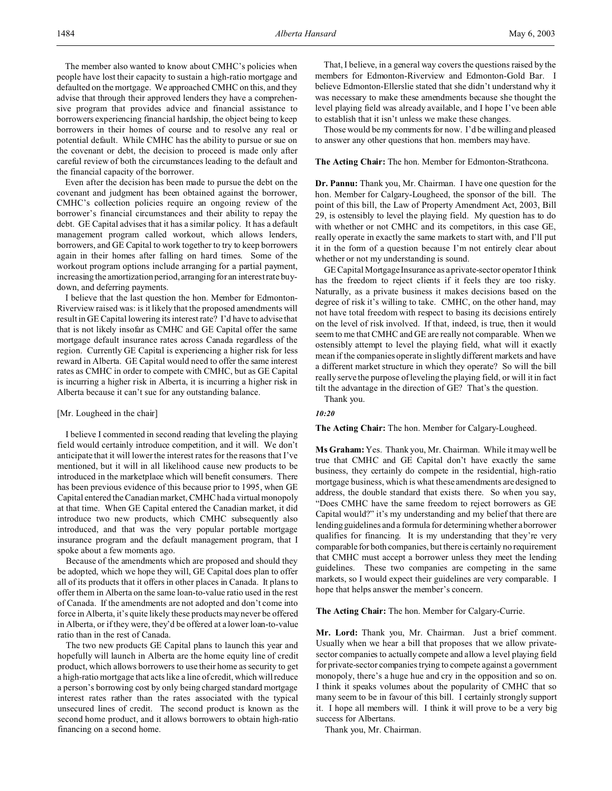The member also wanted to know about CMHC's policies when people have lost their capacity to sustain a high-ratio mortgage and defaulted on the mortgage. We approached CMHC on this, and they advise that through their approved lenders they have a comprehensive program that provides advice and financial assistance to borrowers experiencing financial hardship, the object being to keep borrowers in their homes of course and to resolve any real or potential default. While CMHC has the ability to pursue or sue on the covenant or debt, the decision to proceed is made only after careful review of both the circumstances leading to the default and the financial capacity of the borrower.

Even after the decision has been made to pursue the debt on the covenant and judgment has been obtained against the borrower, CMHC's collection policies require an ongoing review of the borrower's financial circumstances and their ability to repay the debt. GE Capital advises that it has a similar policy. It has a default management program called workout, which allows lenders, borrowers, and GE Capital to work together to try to keep borrowers again in their homes after falling on hard times. Some of the workout program options include arranging for a partial payment, increasing the amortization period, arranging for an interest rate buydown, and deferring payments.

I believe that the last question the hon. Member for Edmonton-Riverview raised was: is it likely that the proposed amendments will result in GE Capital lowering its interest rate? I'd have to advise that that is not likely insofar as CMHC and GE Capital offer the same mortgage default insurance rates across Canada regardless of the region. Currently GE Capital is experiencing a higher risk for less reward in Alberta. GE Capital would need to offer the same interest rates as CMHC in order to compete with CMHC, but as GE Capital is incurring a higher risk in Alberta, it is incurring a higher risk in Alberta because it can't sue for any outstanding balance.

## [Mr. Lougheed in the chair]

I believe I commented in second reading that leveling the playing field would certainly introduce competition, and it will. We don't anticipate that it will lower the interest rates for the reasons that I've mentioned, but it will in all likelihood cause new products to be introduced in the marketplace which will benefit consumers. There has been previous evidence of this because prior to 1995, when GE Capital entered the Canadian market, CMHC had a virtual monopoly at that time. When GE Capital entered the Canadian market, it did introduce two new products, which CMHC subsequently also introduced, and that was the very popular portable mortgage insurance program and the default management program, that I spoke about a few moments ago.

Because of the amendments which are proposed and should they be adopted, which we hope they will, GE Capital does plan to offer all of its products that it offers in other places in Canada. It plans to offer them in Alberta on the same loan-to-value ratio used in the rest of Canada. If the amendments are not adopted and don't come into force in Alberta, it's quite likely these products may never be offered in Alberta, or if they were, they'd be offered at a lower loan-to-value ratio than in the rest of Canada.

The two new products GE Capital plans to launch this year and hopefully will launch in Alberta are the home equity line of credit product, which allows borrowers to use their home as security to get a high-ratio mortgage that acts like a line of credit, which will reduce a person's borrowing cost by only being charged standard mortgage interest rates rather than the rates associated with the typical unsecured lines of credit. The second product is known as the second home product, and it allows borrowers to obtain high-ratio financing on a second home.

That, I believe, in a general way covers the questions raised by the members for Edmonton-Riverview and Edmonton-Gold Bar. I believe Edmonton-Ellerslie stated that she didn't understand why it was necessary to make these amendments because she thought the level playing field was already available, and I hope I've been able to establish that it isn't unless we make these changes.

Those would be my comments for now. I'd be willing and pleased to answer any other questions that hon. members may have.

### **The Acting Chair:** The hon. Member for Edmonton-Strathcona.

**Dr. Pannu:** Thank you, Mr. Chairman. I have one question for the hon. Member for Calgary-Lougheed, the sponsor of the bill. The point of this bill, the Law of Property Amendment Act, 2003, Bill 29, is ostensibly to level the playing field. My question has to do with whether or not CMHC and its competitors, in this case GE, really operate in exactly the same markets to start with, and I'll put it in the form of a question because I'm not entirely clear about whether or not my understanding is sound.

GE Capital Mortgage Insurance as a private-sector operator I think has the freedom to reject clients if it feels they are too risky. Naturally, as a private business it makes decisions based on the degree of risk it's willing to take. CMHC, on the other hand, may not have total freedom with respect to basing its decisions entirely on the level of risk involved. If that, indeed, is true, then it would seem to me that CMHC and GE are really not comparable. When we ostensibly attempt to level the playing field, what will it exactly mean if the companies operate in slightly different markets and have a different market structure in which they operate? So will the bill really serve the purpose of leveling the playing field, or will it in fact tilt the advantage in the direction of GE? That's the question.

Thank you.

### *10:20*

**The Acting Chair:** The hon. Member for Calgary-Lougheed.

**Ms Graham:** Yes. Thank you, Mr. Chairman. While it may well be true that CMHC and GE Capital don't have exactly the same business, they certainly do compete in the residential, high-ratio mortgage business, which is what these amendments are designed to address, the double standard that exists there. So when you say, "Does CMHC have the same freedom to reject borrowers as GE Capital would?" it's my understanding and my belief that there are lendingguidelines and a formula for determining whether a borrower qualifies for financing. It is my understanding that they're very comparable for both companies, but there is certainly no requirement that CMHC must accept a borrower unless they meet the lending guidelines. These two companies are competing in the same markets, so I would expect their guidelines are very comparable. I hope that helps answer the member's concern.

**The Acting Chair:** The hon. Member for Calgary-Currie.

**Mr. Lord:** Thank you, Mr. Chairman. Just a brief comment. Usually when we hear a bill that proposes that we allow privatesector companies to actually compete and allow a level playing field for private-sector companies trying to compete against a government monopoly, there's a huge hue and cry in the opposition and so on. I think it speaks volumes about the popularity of CMHC that so many seem to be in favour of this bill. I certainly strongly support it. I hope all members will. I think it will prove to be a very big success for Albertans.

Thank you, Mr. Chairman.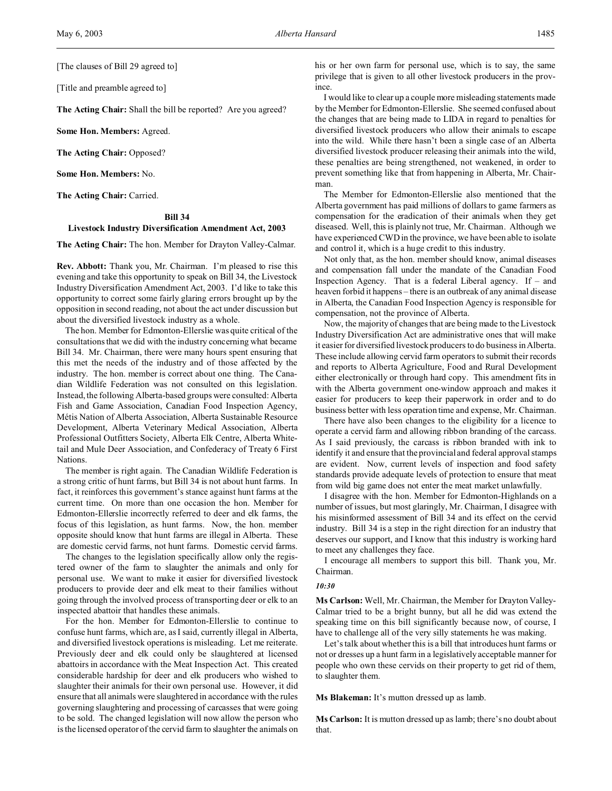[The clauses of Bill 29 agreed to]

[Title and preamble agreed to]

**The Acting Chair:** Shall the bill be reported? Are you agreed?

**Some Hon. Members:** Agreed.

**The Acting Chair:** Opposed?

**Some Hon. Members:** No.

**The Acting Chair:** Carried.

## **Bill 34 Livestock Industry Diversification Amendment Act, 2003**

**The Acting Chair:** The hon. Member for Drayton Valley-Calmar.

**Rev. Abbott:** Thank you, Mr. Chairman. I'm pleased to rise this evening and take this opportunity to speak on Bill 34, the Livestock Industry Diversification Amendment Act, 2003. I'd like to take this opportunity to correct some fairly glaring errors brought up by the opposition in second reading, not about the act under discussion but about the diversified livestock industry as a whole.

The hon. Member for Edmonton-Ellerslie was quite critical of the consultations that we did with the industry concerning what became Bill 34. Mr. Chairman, there were many hours spent ensuring that this met the needs of the industry and of those affected by the industry. The hon. member is correct about one thing. The Canadian Wildlife Federation was not consulted on this legislation. Instead, the following Alberta-based groups were consulted: Alberta Fish and Game Association, Canadian Food Inspection Agency, Métis Nation of Alberta Association, Alberta Sustainable Resource Development, Alberta Veterinary Medical Association, Alberta Professional Outfitters Society, Alberta Elk Centre, Alberta Whitetail and Mule Deer Association, and Confederacy of Treaty 6 First Nations.

The member is right again. The Canadian Wildlife Federation is a strong critic of hunt farms, but Bill 34 is not about hunt farms. In fact, it reinforces this government's stance against hunt farms at the current time. On more than one occasion the hon. Member for Edmonton-Ellerslie incorrectly referred to deer and elk farms, the focus of this legislation, as hunt farms. Now, the hon. member opposite should know that hunt farms are illegal in Alberta. These are domestic cervid farms, not hunt farms. Domestic cervid farms.

The changes to the legislation specifically allow only the registered owner of the farm to slaughter the animals and only for personal use. We want to make it easier for diversified livestock producers to provide deer and elk meat to their families without going through the involved process of transporting deer or elk to an inspected abattoir that handles these animals.

For the hon. Member for Edmonton-Ellerslie to continue to confuse hunt farms, which are, as I said, currently illegal in Alberta, and diversified livestock operations is misleading. Let me reiterate. Previously deer and elk could only be slaughtered at licensed abattoirs in accordance with the Meat Inspection Act. This created considerable hardship for deer and elk producers who wished to slaughter their animals for their own personal use. However, it did ensure that all animals were slaughtered in accordance with the rules governing slaughtering and processing of carcasses that were going to be sold. The changed legislation will now allow the person who is the licensed operator of the cervid farm to slaughter the animals on

his or her own farm for personal use, which is to say, the same privilege that is given to all other livestock producers in the province.

I would like to clear up a couple more misleading statements made by the Member for Edmonton-Ellerslie. She seemed confused about the changes that are being made to LIDA in regard to penalties for diversified livestock producers who allow their animals to escape into the wild. While there hasn't been a single case of an Alberta diversified livestock producer releasing their animals into the wild, these penalties are being strengthened, not weakened, in order to prevent something like that from happening in Alberta, Mr. Chairman.

The Member for Edmonton-Ellerslie also mentioned that the Alberta government has paid millions of dollars to game farmers as compensation for the eradication of their animals when they get diseased. Well, this is plainly not true, Mr. Chairman. Although we have experienced CWD in the province, we have been able to isolate and control it, which is a huge credit to this industry.

Not only that, as the hon. member should know, animal diseases and compensation fall under the mandate of the Canadian Food Inspection Agency. That is a federal Liberal agency. If – and heaven forbid it happens – there is an outbreak of any animal disease in Alberta, the Canadian Food Inspection Agency is responsible for compensation, not the province of Alberta.

Now, the majority of changes that are being made to the Livestock Industry Diversification Act are administrative ones that will make it easier for diversified livestock producers to do business in Alberta. These include allowing cervid farm operators to submit their records and reports to Alberta Agriculture, Food and Rural Development either electronically or through hard copy. This amendment fits in with the Alberta government one-window approach and makes it easier for producers to keep their paperwork in order and to do business better with less operation time and expense, Mr. Chairman.

There have also been changes to the eligibility for a licence to operate a cervid farm and allowing ribbon branding of the carcass. As I said previously, the carcass is ribbon branded with ink to identify it and ensure that the provincial and federal approval stamps are evident. Now, current levels of inspection and food safety standards provide adequate levels of protection to ensure that meat from wild big game does not enter the meat market unlawfully.

I disagree with the hon. Member for Edmonton-Highlands on a number of issues, but most glaringly, Mr. Chairman, I disagree with his misinformed assessment of Bill 34 and its effect on the cervid industry. Bill 34 is a step in the right direction for an industry that deserves our support, and I know that this industry is working hard to meet any challenges they face.

I encourage all members to support this bill. Thank you, Mr. Chairman.

#### *10:30*

**Ms Carlson:** Well, Mr. Chairman, the Member for Drayton Valley-Calmar tried to be a bright bunny, but all he did was extend the speaking time on this bill significantly because now, of course, I have to challenge all of the very silly statements he was making.

Let's talk about whether this is a bill that introduces hunt farms or not or dresses up a hunt farm in a legislatively acceptable manner for people who own these cervids on their property to get rid of them, to slaughter them.

**Ms Blakeman:** It's mutton dressed up as lamb.

**Ms Carlson:** It is mutton dressed up as lamb; there's no doubt about that.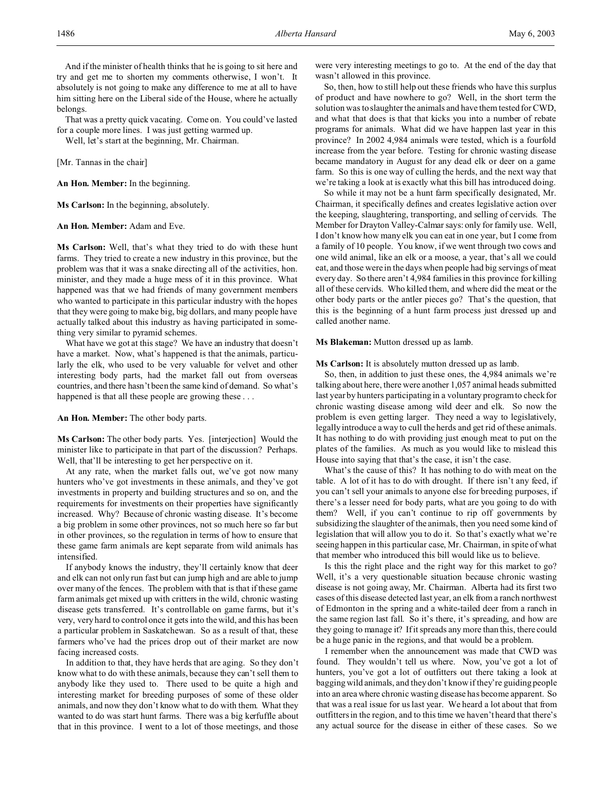That was a pretty quick vacating. Come on. You could've lasted for a couple more lines. I was just getting warmed up.

Well, let's start at the beginning, Mr. Chairman.

[Mr. Tannas in the chair]

**An Hon. Member:** In the beginning.

**Ms Carlson:** In the beginning, absolutely.

**An Hon. Member:** Adam and Eve.

**Ms Carlson:** Well, that's what they tried to do with these hunt farms. They tried to create a new industry in this province, but the problem was that it was a snake directing all of the activities, hon. minister, and they made a huge mess of it in this province. What happened was that we had friends of many government members who wanted to participate in this particular industry with the hopes that they were going to make big, big dollars, and many people have actually talked about this industry as having participated in something very similar to pyramid schemes.

What have we got at this stage? We have an industry that doesn't have a market. Now, what's happened is that the animals, particularly the elk, who used to be very valuable for velvet and other interesting body parts, had the market fall out from overseas countries, and there hasn't been the same kind of demand. So what's happened is that all these people are growing these . . .

**An Hon. Member:** The other body parts.

**Ms Carlson:** The other body parts. Yes. [interjection] Would the minister like to participate in that part of the discussion? Perhaps. Well, that'll be interesting to get her perspective on it.

At any rate, when the market falls out, we've got now many hunters who've got investments in these animals, and they've got investments in property and building structures and so on, and the requirements for investments on their properties have significantly increased. Why? Because of chronic wasting disease. It's become a big problem in some other provinces, not so much here so far but in other provinces, so the regulation in terms of how to ensure that these game farm animals are kept separate from wild animals has intensified.

If anybody knows the industry, they'll certainly know that deer and elk can not only run fast but can jump high and are able to jump over many of the fences. The problem with that is that if these game farm animals get mixed up with critters in the wild, chronic wasting disease gets transferred. It's controllable on game farms, but it's very, very hard to control once it gets into the wild, and this has been a particular problem in Saskatchewan. So as a result of that, these farmers who've had the prices drop out of their market are now facing increased costs.

In addition to that, they have herds that are aging. So they don't know what to do with these animals, because they can't sell them to anybody like they used to. There used to be quite a high and interesting market for breeding purposes of some of these older animals, and now they don't know what to do with them. What they wanted to do was start hunt farms. There was a big kerfuffle about that in this province. I went to a lot of those meetings, and those were very interesting meetings to go to. At the end of the day that wasn't allowed in this province.

So, then, how to still help out these friends who have this surplus of product and have nowhere to go? Well, in the short term the solution was to slaughter the animals and have them tested for CWD, and what that does is that that kicks you into a number of rebate programs for animals. What did we have happen last year in this province? In 2002 4,984 animals were tested, which is a fourfold increase from the year before. Testing for chronic wasting disease became mandatory in August for any dead elk or deer on a game farm. So this is one way of culling the herds, and the next way that we're taking a look at is exactly what this bill has introduced doing.

So while it may not be a hunt farm specifically designated, Mr. Chairman, it specifically defines and creates legislative action over the keeping, slaughtering, transporting, and selling of cervids. The Member for Drayton Valley-Calmar says: only for family use. Well, I don't know how many elk you can eat in one year, but I come from a family of 10 people. You know, if we went through two cows and one wild animal, like an elk or a moose, a year, that's all we could eat, and those were in the days when people had big servings of meat every day. So there aren't 4,984 families in this province for killing all of these cervids. Who killed them, and where did the meat or the other body parts or the antler pieces go? That's the question, that this is the beginning of a hunt farm process just dressed up and called another name.

**Ms Blakeman:** Mutton dressed up as lamb.

**Ms Carlson:** It is absolutely mutton dressed up as lamb.

So, then, in addition to just these ones, the 4,984 animals we're talking about here, there were another 1,057 animal heads submitted last year by hunters participating in a voluntary program to check for chronic wasting disease among wild deer and elk. So now the problem is even getting larger. They need a way to legislatively, legally introduce a way to cull the herds and get rid of these animals. It has nothing to do with providing just enough meat to put on the plates of the families. As much as you would like to mislead this House into saying that that's the case, it isn't the case.

What's the cause of this? It has nothing to do with meat on the table. A lot of it has to do with drought. If there isn't any feed, if you can't sell your animals to anyone else for breeding purposes, if there's a lesser need for body parts, what are you going to do with them? Well, if you can't continue to rip off governments by subsidizing the slaughter of the animals, then you need some kind of legislation that will allow you to do it. So that's exactly what we're seeing happen in this particular case, Mr. Chairman, in spite of what that member who introduced this bill would like us to believe.

Is this the right place and the right way for this market to go? Well, it's a very questionable situation because chronic wasting disease is not going away, Mr. Chairman. Alberta had its first two cases of this disease detected last year, an elk from a ranch northwest of Edmonton in the spring and a white-tailed deer from a ranch in the same region last fall. So it's there, it's spreading, and how are they going to manage it? If it spreads any more than this, there could be a huge panic in the regions, and that would be a problem.

I remember when the announcement was made that CWD was found. They wouldn't tell us where. Now, you've got a lot of hunters, you've got a lot of outfitters out there taking a look at bagging wild animals, and they don't know if they're guiding people into an area where chronic wasting disease has become apparent. So that was a real issue for us last year. We heard a lot about that from outfitters in the region, and to this time we haven't heard that there's any actual source for the disease in either of these cases. So we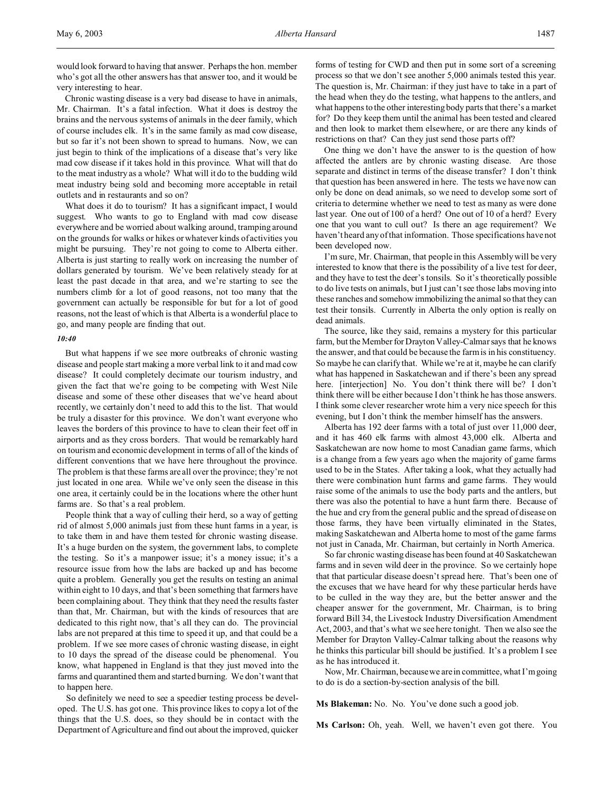would look forward to having that answer. Perhaps the hon. member who's got all the other answers has that answer too, and it would be very interesting to hear.

Chronic wasting disease is a very bad disease to have in animals, Mr. Chairman. It's a fatal infection. What it does is destroy the brains and the nervous systems of animals in the deer family, which of course includes elk. It's in the same family as mad cow disease, but so far it's not been shown to spread to humans. Now, we can just begin to think of the implications of a disease that's very like mad cow disease if it takes hold in this province. What will that do to the meat industry as a whole? What will it do to the budding wild meat industry being sold and becoming more acceptable in retail outlets and in restaurants and so on?

What does it do to tourism? It has a significant impact, I would suggest. Who wants to go to England with mad cow disease everywhere and be worried about walking around, tramping around on the grounds for walks or hikes or whatever kinds of activities you might be pursuing. They're not going to come to Alberta either. Alberta is just starting to really work on increasing the number of dollars generated by tourism. We've been relatively steady for at least the past decade in that area, and we're starting to see the numbers climb for a lot of good reasons, not too many that the government can actually be responsible for but for a lot of good reasons, not the least of which is that Alberta is a wonderful place to go, and many people are finding that out.

### *10:40*

But what happens if we see more outbreaks of chronic wasting disease and people start making a more verbal link to it and mad cow disease? It could completely decimate our tourism industry, and given the fact that we're going to be competing with West Nile disease and some of these other diseases that we've heard about recently, we certainly don't need to add this to the list. That would be truly a disaster for this province. We don't want everyone who leaves the borders of this province to have to clean their feet off in airports and as they cross borders. That would be remarkably hard on tourism and economic development in terms of all of the kinds of different conventions that we have here throughout the province. The problem is that these farms are all over the province; they're not just located in one area. While we've only seen the disease in this one area, it certainly could be in the locations where the other hunt farms are. So that's a real problem.

People think that a way of culling their herd, so a way of getting rid of almost 5,000 animals just from these hunt farms in a year, is to take them in and have them tested for chronic wasting disease. It's a huge burden on the system, the government labs, to complete the testing. So it's a manpower issue; it's a money issue; it's a resource issue from how the labs are backed up and has become quite a problem. Generally you get the results on testing an animal within eight to 10 days, and that's been something that farmers have been complaining about. They think that they need the results faster than that, Mr. Chairman, but with the kinds of resources that are dedicated to this right now, that's all they can do. The provincial labs are not prepared at this time to speed it up, and that could be a problem. If we see more cases of chronic wasting disease, in eight to 10 days the spread of the disease could be phenomenal. You know, what happened in England is that they just moved into the farms and quarantined them and started burning. We don't want that to happen here.

So definitely we need to see a speedier testing process be developed. The U.S. has got one. This province likes to copy a lot of the things that the U.S. does, so they should be in contact with the Department of Agriculture and find out about the improved, quicker

forms of testing for CWD and then put in some sort of a screening process so that we don't see another 5,000 animals tested this year. The question is, Mr. Chairman: if they just have to take in a part of the head when they do the testing, what happens to the antlers, and what happens to the other interesting body parts that there's a market for? Do they keep them until the animal has been tested and cleared and then look to market them elsewhere, or are there any kinds of restrictions on that? Can they just send those parts off?

One thing we don't have the answer to is the question of how affected the antlers are by chronic wasting disease. Are those separate and distinct in terms of the disease transfer? I don't think that question has been answered in here. The tests we have now can only be done on dead animals, so we need to develop some sort of criteria to determine whether we need to test as many as were done last year. One out of 100 of a herd? One out of 10 of a herd? Every one that you want to cull out? Is there an age requirement? We haven't heard any of that information. Those specifications have not been developed now.

I'm sure, Mr. Chairman, that people in this Assembly will be very interested to know that there is the possibility of a live test for deer, and they have to test the deer's tonsils. So it's theoretically possible to do live tests on animals, but I just can't see those labs moving into these ranches and somehow immobilizing the animal so that they can test their tonsils. Currently in Alberta the only option is really on dead animals.

The source, like they said, remains a mystery for this particular farm, but the Member for Drayton Valley-Calmar says that he knows the answer, and that could be because the farm is in his constituency. So maybe he can clarify that. While we're at it, maybe he can clarify what has happened in Saskatchewan and if there's been any spread here. [interjection] No. You don't think there will be? I don't think there will be either because I don't think he has those answers. I think some clever researcher wrote him a very nice speech for this evening, but I don't think the member himself has the answers.

Alberta has 192 deer farms with a total of just over 11,000 deer, and it has 460 elk farms with almost 43,000 elk. Alberta and Saskatchewan are now home to most Canadian game farms, which is a change from a few years ago when the majority of game farms used to be in the States. After taking a look, what they actually had there were combination hunt farms and game farms. They would raise some of the animals to use the body parts and the antlers, but there was also the potential to have a hunt farm there. Because of the hue and cry from the general public and the spread of disease on those farms, they have been virtually eliminated in the States, making Saskatchewan and Alberta home to most of the game farms not just in Canada, Mr. Chairman, but certainly in North America.

So far chronic wasting disease has been found at 40 Saskatchewan farms and in seven wild deer in the province. So we certainly hope that that particular disease doesn't spread here. That's been one of the excuses that we have heard for why these particular herds have to be culled in the way they are, but the better answer and the cheaper answer for the government, Mr. Chairman, is to bring forward Bill 34, the Livestock Industry Diversification Amendment Act, 2003, and that's what we see here tonight. Then we also see the Member for Drayton Valley-Calmar talking about the reasons why he thinks this particular bill should be justified. It's a problem I see as he has introduced it.

Now, Mr. Chairman, because we are in committee, what I'm going to do is do a section-by-section analysis of the bill.

**Ms Blakeman:** No. No. You've done such a good job.

**Ms Carlson:** Oh, yeah. Well, we haven't even got there. You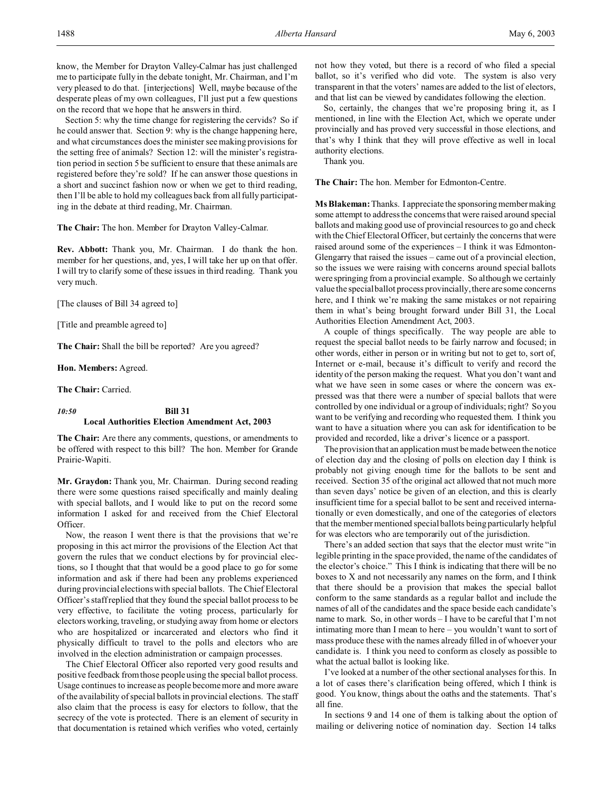Section 5: why the time change for registering the cervids? So if he could answer that. Section 9: why is the change happening here, and what circumstances does the minister see making provisions for the setting free of animals? Section 12: will the minister's registration period in section 5 be sufficient to ensure that these animals are registered before they're sold? If he can answer those questions in a short and succinct fashion now or when we get to third reading, then I'll be able to hold my colleagues back from all fully participating in the debate at third reading, Mr. Chairman.

**The Chair:** The hon. Member for Drayton Valley-Calmar.

**Rev. Abbott:** Thank you, Mr. Chairman. I do thank the hon. member for her questions, and, yes, I will take her up on that offer. I will try to clarify some of these issues in third reading. Thank you very much.

[The clauses of Bill 34 agreed to]

[Title and preamble agreed to]

**The Chair:** Shall the bill be reported? Are you agreed?

**Hon. Members:** Agreed.

**The Chair:** Carried.

## *10:50* **Bill 31 Local Authorities Election Amendment Act, 2003**

**The Chair:** Are there any comments, questions, or amendments to be offered with respect to this bill? The hon. Member for Grande Prairie-Wapiti.

**Mr. Graydon:** Thank you, Mr. Chairman. During second reading there were some questions raised specifically and mainly dealing with special ballots, and I would like to put on the record some information I asked for and received from the Chief Electoral Officer.

Now, the reason I went there is that the provisions that we're proposing in this act mirror the provisions of the Election Act that govern the rules that we conduct elections by for provincial elections, so I thought that that would be a good place to go for some information and ask if there had been any problems experienced during provincial elections with special ballots. The Chief Electoral Officer's staff replied that they found the special ballot process to be very effective, to facilitate the voting process, particularly for electors working, traveling, or studying away from home or electors who are hospitalized or incarcerated and electors who find it physically difficult to travel to the polls and electors who are involved in the election administration or campaign processes.

The Chief Electoral Officer also reported very good results and positive feedback from those people using the special ballot process. Usage continues to increase as people become more and more aware of the availability of special ballots in provincial elections. The staff also claim that the process is easy for electors to follow, that the secrecy of the vote is protected. There is an element of security in that documentation is retained which verifies who voted, certainly

not how they voted, but there is a record of who filed a special ballot, so it's verified who did vote. The system is also very transparent in that the voters' names are added to the list of electors, and that list can be viewed by candidates following the election.

So, certainly, the changes that we're proposing bring it, as I mentioned, in line with the Election Act, which we operate under provincially and has proved very successful in those elections, and that's why I think that they will prove effective as well in local authority elections.

Thank you.

**The Chair:** The hon. Member for Edmonton-Centre.

**Ms Blakeman:** Thanks. I appreciate the sponsoring member making some attempt to address the concerns that were raised around special ballots and making good use of provincial resources to go and check with the Chief Electoral Officer, but certainly the concerns that were raised around some of the experiences – I think it was Edmonton-Glengarry that raised the issues – came out of a provincial election, so the issues we were raising with concerns around special ballots were springing from a provincial example. So although we certainly value the special ballot process provincially, there are some concerns here, and I think we're making the same mistakes or not repairing them in what's being brought forward under Bill 31, the Local Authorities Election Amendment Act, 2003.

A couple of things specifically. The way people are able to request the special ballot needs to be fairly narrow and focused; in other words, either in person or in writing but not to get to, sort of, Internet or e-mail, because it's difficult to verify and record the identity of the person making the request. What you don't want and what we have seen in some cases or where the concern was expressed was that there were a number of special ballots that were controlled by one individual or a group of individuals; right? So you want to be verifying and recording who requested them. I think you want to have a situation where you can ask for identification to be provided and recorded, like a driver's licence or a passport.

The provision that an application must be made between the notice of election day and the closing of polls on election day I think is probably not giving enough time for the ballots to be sent and received. Section 35 of the original act allowed that not much more than seven days' notice be given of an election, and this is clearly insufficient time for a special ballot to be sent and received internationally or even domestically, and one of the categories of electors that the member mentioned special ballots being particularly helpful for was electors who are temporarily out of the jurisdiction.

There's an added section that says that the elector must write "in legible printing in the space provided, the name of the candidates of the elector's choice." This I think is indicating that there will be no boxes to X and not necessarily any names on the form, and I think that there should be a provision that makes the special ballot conform to the same standards as a regular ballot and include the names of all of the candidates and the space beside each candidate's name to mark. So, in other words – I have to be careful that I'm not intimating more than I mean to here – you wouldn't want to sort of mass produce these with the names already filled in of whoever your candidate is. I think you need to conform as closely as possible to what the actual ballot is looking like.

I've looked at a number of the other sectional analyses for this. In a lot of cases there's clarification being offered, which I think is good. You know, things about the oaths and the statements. That's all fine.

In sections 9 and 14 one of them is talking about the option of mailing or delivering notice of nomination day. Section 14 talks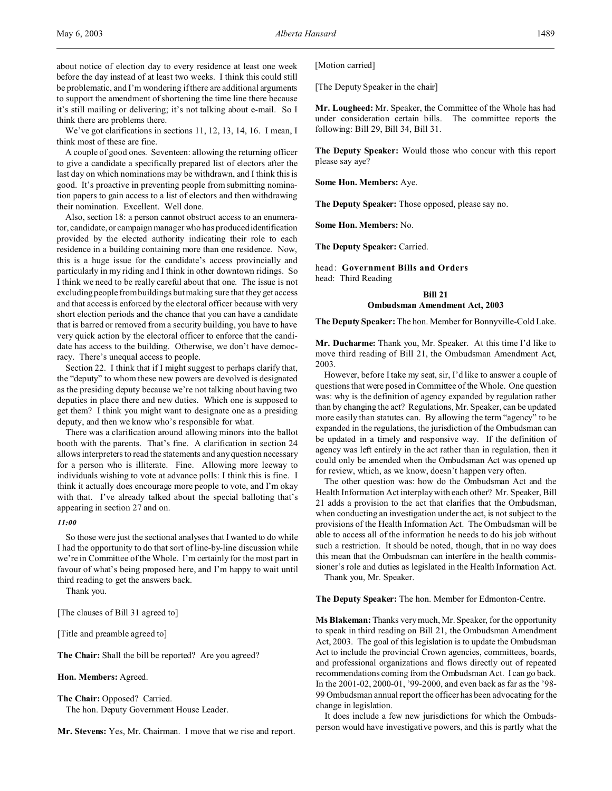about notice of election day to every residence at least one week before the day instead of at least two weeks. I think this could still be problematic, and I'm wondering if there are additional arguments to support the amendment of shortening the time line there because it's still mailing or delivering; it's not talking about e-mail. So I think there are problems there.

We've got clarifications in sections 11, 12, 13, 14, 16. I mean, I think most of these are fine.

A couple of good ones. Seventeen: allowing the returning officer to give a candidate a specifically prepared list of electors after the last day on which nominations may be withdrawn, and I think this is good. It's proactive in preventing people from submitting nomination papers to gain access to a list of electors and then withdrawing their nomination. Excellent. Well done.

Also, section 18: a person cannot obstruct access to an enumerator, candidate, or campaign manager who has produced identification provided by the elected authority indicating their role to each residence in a building containing more than one residence. Now, this is a huge issue for the candidate's access provincially and particularly in my riding and I think in other downtown ridings. So I think we need to be really careful about that one. The issue is not excluding people from buildings but making sure that they get access and that access is enforced by the electoral officer because with very short election periods and the chance that you can have a candidate that is barred or removed from a security building, you have to have very quick action by the electoral officer to enforce that the candidate has access to the building. Otherwise, we don't have democracy. There's unequal access to people.

Section 22. I think that if I might suggest to perhaps clarify that, the "deputy" to whom these new powers are devolved is designated as the presiding deputy because we're not talking about having two deputies in place there and new duties. Which one is supposed to get them? I think you might want to designate one as a presiding deputy, and then we know who's responsible for what.

There was a clarification around allowing minors into the ballot booth with the parents. That's fine. A clarification in section 24 allows interpreters to read the statements and any question necessary for a person who is illiterate. Fine. Allowing more leeway to individuals wishing to vote at advance polls: I think this is fine. I think it actually does encourage more people to vote, and I'm okay with that. I've already talked about the special balloting that's appearing in section 27 and on.

### *11:00*

So those were just the sectional analyses that I wanted to do while I had the opportunity to do that sort of line-by-line discussion while we're in Committee of the Whole. I'm certainly for the most part in favour of what's being proposed here, and I'm happy to wait until third reading to get the answers back.

Thank you.

[The clauses of Bill 31 agreed to]

[Title and preamble agreed to]

**The Chair:** Shall the bill be reported? Are you agreed?

**Hon. Members:** Agreed.

**The Chair:** Opposed? Carried. The hon. Deputy Government House Leader.

**Mr. Stevens:** Yes, Mr. Chairman. I move that we rise and report.

[Motion carried]

[The Deputy Speaker in the chair]

**Mr. Lougheed:** Mr. Speaker, the Committee of the Whole has had under consideration certain bills. The committee reports the following: Bill 29, Bill 34, Bill 31.

**The Deputy Speaker:** Would those who concur with this report please say aye?

**Some Hon. Members:** Aye.

**The Deputy Speaker:** Those opposed, please say no.

**Some Hon. Members:** No.

**The Deputy Speaker:** Carried.

head: **Government Bills and Orders** head: Third Reading

## **Bill 21 Ombudsman Amendment Act, 2003**

**The Deputy Speaker:** The hon. Member for Bonnyville-Cold Lake.

**Mr. Ducharme:** Thank you, Mr. Speaker. At this time I'd like to move third reading of Bill 21, the Ombudsman Amendment Act, 2003.

However, before I take my seat, sir, I'd like to answer a couple of questions that were posed in Committee of the Whole. One question was: why is the definition of agency expanded by regulation rather than by changing the act? Regulations, Mr. Speaker, can be updated more easily than statutes can. By allowing the term "agency" to be expanded in the regulations, the jurisdiction of the Ombudsman can be updated in a timely and responsive way. If the definition of agency was left entirely in the act rather than in regulation, then it could only be amended when the Ombudsman Act was opened up for review, which, as we know, doesn't happen very often.

The other question was: how do the Ombudsman Act and the Health Information Act interplay with each other? Mr. Speaker, Bill 21 adds a provision to the act that clarifies that the Ombudsman, when conducting an investigation under the act, is not subject to the provisions of the Health Information Act. The Ombudsman will be able to access all of the information he needs to do his job without such a restriction. It should be noted, though, that in no way does this mean that the Ombudsman can interfere in the health commissioner's role and duties as legislated in the Health Information Act.

Thank you, Mr. Speaker.

**The Deputy Speaker:** The hon. Member for Edmonton-Centre.

**Ms Blakeman:** Thanks very much, Mr. Speaker, for the opportunity to speak in third reading on Bill 21, the Ombudsman Amendment Act, 2003. The goal of this legislation is to update the Ombudsman Act to include the provincial Crown agencies, committees, boards, and professional organizations and flows directly out of repeated recommendations coming from the Ombudsman Act. I can go back. In the 2001-02, 2000-01, '99-2000, and even back as far as the '98- 99 Ombudsman annual report the officer has been advocating for the change in legislation.

It does include a few new jurisdictions for which the Ombudsperson would have investigative powers, and this is partly what the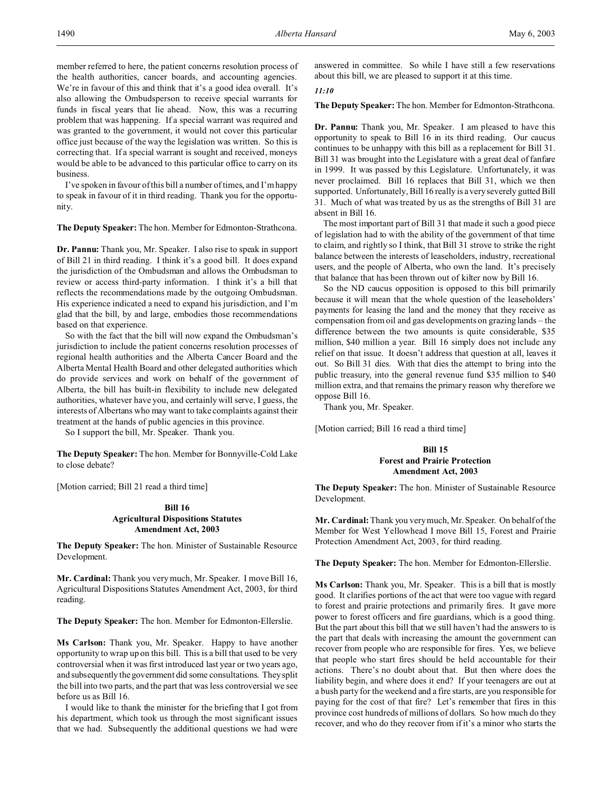member referred to here, the patient concerns resolution process of the health authorities, cancer boards, and accounting agencies. We're in favour of this and think that it's a good idea overall. It's also allowing the Ombudsperson to receive special warrants for funds in fiscal years that lie ahead. Now, this was a recurring problem that was happening. If a special warrant was required and was granted to the government, it would not cover this particular office just because of the way the legislation was written. So this is correcting that. If a special warrant is sought and received, moneys would be able to be advanced to this particular office to carry on its business.

I've spoken in favour of this bill a number of times, and I'm happy to speak in favour of it in third reading. Thank you for the opportunity.

**The Deputy Speaker:** The hon. Member for Edmonton-Strathcona.

**Dr. Pannu:** Thank you, Mr. Speaker. I also rise to speak in support of Bill 21 in third reading. I think it's a good bill. It does expand the jurisdiction of the Ombudsman and allows the Ombudsman to review or access third-party information. I think it's a bill that reflects the recommendations made by the outgoing Ombudsman. His experience indicated a need to expand his jurisdiction, and I'm glad that the bill, by and large, embodies those recommendations based on that experience.

So with the fact that the bill will now expand the Ombudsman's jurisdiction to include the patient concerns resolution processes of regional health authorities and the Alberta Cancer Board and the Alberta Mental Health Board and other delegated authorities which do provide services and work on behalf of the government of Alberta, the bill has built-in flexibility to include new delegated authorities, whatever have you, and certainly will serve, I guess, the interests of Albertans who may want to take complaints against their treatment at the hands of public agencies in this province.

So I support the bill, Mr. Speaker. Thank you.

**The Deputy Speaker:** The hon. Member for Bonnyville-Cold Lake to close debate?

[Motion carried; Bill 21 read a third time]

### **Bill 16 Agricultural Dispositions Statutes Amendment Act, 2003**

**The Deputy Speaker:** The hon. Minister of Sustainable Resource Development.

**Mr. Cardinal:** Thank you very much, Mr. Speaker. I move Bill 16, Agricultural Dispositions Statutes Amendment Act, 2003, for third reading.

**The Deputy Speaker:** The hon. Member for Edmonton-Ellerslie.

**Ms Carlson:** Thank you, Mr. Speaker. Happy to have another opportunity to wrap up on this bill. This is a bill that used to be very controversial when it was first introduced last year or two years ago, and subsequently the government did some consultations. They split the bill into two parts, and the part that was less controversial we see before us as Bill 16.

I would like to thank the minister for the briefing that I got from his department, which took us through the most significant issues that we had. Subsequently the additional questions we had were

answered in committee. So while I have still a few reservations about this bill, we are pleased to support it at this time.

## *11:10*

**The Deputy Speaker:** The hon. Member for Edmonton-Strathcona.

**Dr. Pannu:** Thank you, Mr. Speaker. I am pleased to have this opportunity to speak to Bill 16 in its third reading. Our caucus continues to be unhappy with this bill as a replacement for Bill 31. Bill 31 was brought into the Legislature with a great deal of fanfare in 1999. It was passed by this Legislature. Unfortunately, it was never proclaimed. Bill 16 replaces that Bill 31, which we then supported. Unfortunately, Bill 16 really is a very severely gutted Bill 31. Much of what was treated by us as the strengths of Bill 31 are absent in Bill 16.

The most important part of Bill 31 that made it such a good piece of legislation had to with the ability of the government of that time to claim, and rightly so I think, that Bill 31 strove to strike the right balance between the interests of leaseholders, industry, recreational users, and the people of Alberta, who own the land. It's precisely that balance that has been thrown out of kilter now by Bill 16.

So the ND caucus opposition is opposed to this bill primarily because it will mean that the whole question of the leaseholders' payments for leasing the land and the money that they receive as compensation from oil and gas developments on grazing lands – the difference between the two amounts is quite considerable, \$35 million, \$40 million a year. Bill 16 simply does not include any relief on that issue. It doesn't address that question at all, leaves it out. So Bill 31 dies. With that dies the attempt to bring into the public treasury, into the general revenue fund \$35 million to \$40 million extra, and that remains the primary reason why therefore we oppose Bill 16.

Thank you, Mr. Speaker.

[Motion carried; Bill 16 read a third time]

### **Bill 15 Forest and Prairie Protection Amendment Act, 2003**

**The Deputy Speaker:** The hon. Minister of Sustainable Resource Development.

**Mr. Cardinal:** Thank you very much, Mr. Speaker. On behalf of the Member for West Yellowhead I move Bill 15, Forest and Prairie Protection Amendment Act, 2003, for third reading.

**The Deputy Speaker:** The hon. Member for Edmonton-Ellerslie.

**Ms Carlson:** Thank you, Mr. Speaker. This is a bill that is mostly good. It clarifies portions of the act that were too vague with regard to forest and prairie protections and primarily fires. It gave more power to forest officers and fire guardians, which is a good thing. But the part about this bill that we still haven't had the answers to is the part that deals with increasing the amount the government can recover from people who are responsible for fires. Yes, we believe that people who start fires should be held accountable for their actions. There's no doubt about that. But then where does the liability begin, and where does it end? If your teenagers are out at a bush party for the weekend and a fire starts, are you responsible for paying for the cost of that fire? Let's remember that fires in this province cost hundreds of millions of dollars. So how much do they recover, and who do they recover from if it's a minor who starts the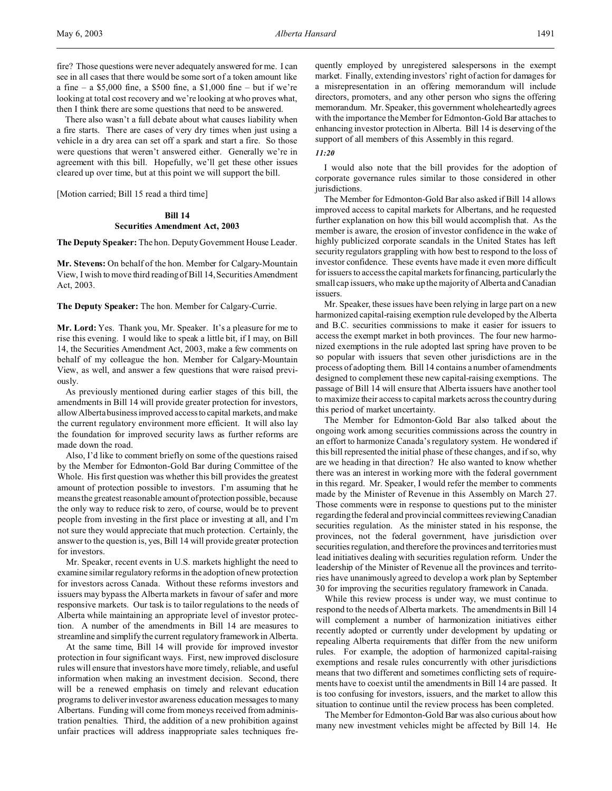fire? Those questions were never adequately answered for me. I can see in all cases that there would be some sort of a token amount like a fine – a \$5,000 fine, a \$500 fine, a \$1,000 fine – but if we're looking at total cost recovery and we're looking at who proves what, then I think there are some questions that need to be answered.

There also wasn't a full debate about what causes liability when a fire starts. There are cases of very dry times when just using a vehicle in a dry area can set off a spark and start a fire. So those were questions that weren't answered either. Generally we're in agreement with this bill. Hopefully, we'll get these other issues cleared up over time, but at this point we will support the bill.

[Motion carried; Bill 15 read a third time]

## **Bill 14 Securities Amendment Act, 2003**

**The Deputy Speaker:** The hon. Deputy Government House Leader.

**Mr. Stevens:** On behalf of the hon. Member for Calgary-Mountain View, I wish to move third reading of Bill 14, Securities Amendment Act, 2003.

**The Deputy Speaker:** The hon. Member for Calgary-Currie.

**Mr. Lord:** Yes. Thank you, Mr. Speaker. It's a pleasure for me to rise this evening. I would like to speak a little bit, if I may, on Bill 14, the Securities Amendment Act, 2003, make a few comments on behalf of my colleague the hon. Member for Calgary-Mountain View, as well, and answer a few questions that were raised previously.

As previously mentioned during earlier stages of this bill, the amendments in Bill 14 will provide greater protection for investors, allow Alberta business improved access to capital markets, and make the current regulatory environment more efficient. It will also lay the foundation for improved security laws as further reforms are made down the road.

Also, I'd like to comment briefly on some of the questions raised by the Member for Edmonton-Gold Bar during Committee of the Whole. His first question was whether this bill provides the greatest amount of protection possible to investors. I'm assuming that he means the greatest reasonable amount of protection possible, because the only way to reduce risk to zero, of course, would be to prevent people from investing in the first place or investing at all, and I'm not sure they would appreciate that much protection. Certainly, the answer to the question is, yes, Bill 14 will provide greater protection for investors.

Mr. Speaker, recent events in U.S. markets highlight the need to examine similar regulatory reforms in the adoption of new protection for investors across Canada. Without these reforms investors and issuers may bypass the Alberta markets in favour of safer and more responsive markets. Our task is to tailor regulations to the needs of Alberta while maintaining an appropriate level of investor protection. A number of the amendments in Bill 14 are measures to streamline and simplify the current regulatory framework in Alberta.

At the same time, Bill 14 will provide for improved investor protection in four significant ways. First, new improved disclosure rules will ensure that investors have more timely, reliable, and useful information when making an investment decision. Second, there will be a renewed emphasis on timely and relevant education programs to deliver investor awareness education messages to many Albertans. Funding will come from moneys received from administration penalties. Third, the addition of a new prohibition against unfair practices will address inappropriate sales techniques frequently employed by unregistered salespersons in the exempt market. Finally, extending investors' right of action for damages for a misrepresentation in an offering memorandum will include directors, promoters, and any other person who signs the offering memorandum. Mr. Speaker, this government wholeheartedly agrees with the importance the Member for Edmonton-Gold Bar attaches to enhancing investor protection in Alberta. Bill 14 is deserving of the support of all members of this Assembly in this regard.

#### *11:20*

I would also note that the bill provides for the adoption of corporate governance rules similar to those considered in other jurisdictions.

The Member for Edmonton-Gold Bar also asked if Bill 14 allows improved access to capital markets for Albertans, and he requested further explanation on how this bill would accomplish that. As the member is aware, the erosion of investor confidence in the wake of highly publicized corporate scandals in the United States has left security regulators grappling with how best to respond to the loss of investor confidence. These events have made it even more difficult for issuers to access the capital markets for financing, particularly the small cap issuers, who make up the majority of Alberta and Canadian issuers.

Mr. Speaker, these issues have been relying in large part on a new harmonized capital-raising exemption rule developed by the Alberta and B.C. securities commissions to make it easier for issuers to access the exempt market in both provinces. The four new harmonized exemptions in the rule adopted last spring have proven to be so popular with issuers that seven other jurisdictions are in the process of adopting them. Bill 14 contains a number of amendments designed to complement these new capital-raising exemptions. The passage of Bill 14 will ensure that Alberta issuers have another tool to maximize their access to capital markets across the country during this period of market uncertainty.

The Member for Edmonton-Gold Bar also talked about the ongoing work among securities commissions across the country in an effort to harmonize Canada's regulatory system. He wondered if this bill represented the initial phase of these changes, and if so, why are we heading in that direction? He also wanted to know whether there was an interest in working more with the federal government in this regard. Mr. Speaker, I would refer the member to comments made by the Minister of Revenue in this Assembly on March 27. Those comments were in response to questions put to the minister regarding the federal and provincial committees reviewing Canadian securities regulation. As the minister stated in his response, the provinces, not the federal government, have jurisdiction over securities regulation, and therefore the provinces and territories must lead initiatives dealing with securities regulation reform. Under the leadership of the Minister of Revenue all the provinces and territories have unanimously agreed to develop a work plan by September 30 for improving the securities regulatory framework in Canada.

While this review process is under way, we must continue to respond to the needs of Alberta markets. The amendments in Bill 14 will complement a number of harmonization initiatives either recently adopted or currently under development by updating or repealing Alberta requirements that differ from the new uniform rules. For example, the adoption of harmonized capital-raising exemptions and resale rules concurrently with other jurisdictions means that two different and sometimes conflicting sets of requirements have to coexist until the amendments in Bill 14 are passed. It is too confusing for investors, issuers, and the market to allow this situation to continue until the review process has been completed.

The Member for Edmonton-Gold Bar was also curious about how many new investment vehicles might be affected by Bill 14. He